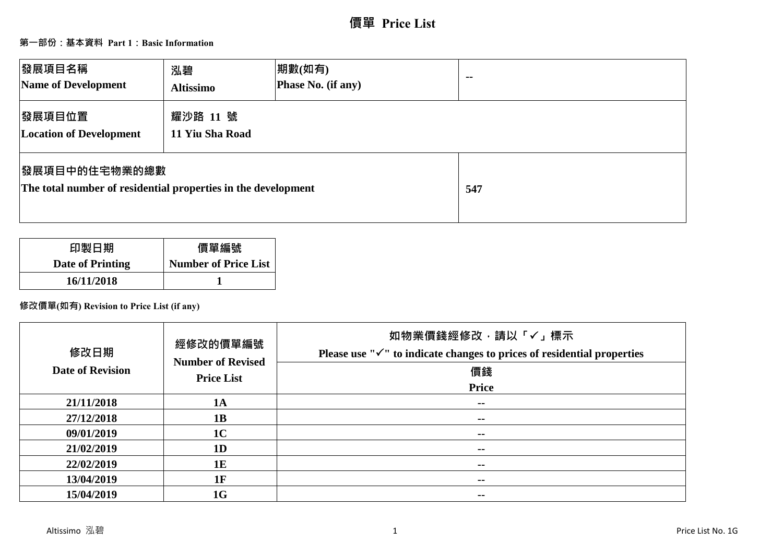# **價單 Price List**

## **第一部份:基本資料 Part 1:Basic Information**

| 發展項目名稱<br>Name of Development                                                          | 泓碧<br><b>Altissimo</b>      | 期數(如有)<br>Phase No. (if any) | $\sim$ $\sim$ |
|----------------------------------------------------------------------------------------|-----------------------------|------------------------------|---------------|
| 發展項目位置<br><b>Location of Development</b>                                               | 耀沙路 11 號<br>11 Yiu Sha Road |                              |               |
| <b> 發展項目中的住宅物業的總數</b><br>The total number of residential properties in the development |                             |                              | 547           |

| 印製日期             | 價單編號                        |
|------------------|-----------------------------|
| Date of Printing | <b>Number of Price List</b> |
| 16/11/2018       |                             |

### **修改價單(如有) Revision to Price List (if any)**

| 修改日期<br><b>Date of Revision</b> | 經修改的價單編號<br><b>Number of Revised</b><br><b>Price List</b> | 如物業價錢經修改,請以「√」標示<br>Please use " $\checkmark$ " to indicate changes to prices of residential properties<br>價錢<br>Price |
|---------------------------------|-----------------------------------------------------------|------------------------------------------------------------------------------------------------------------------------|
| 21/11/2018                      | <b>1A</b>                                                 | $\sim$ $-$                                                                                                             |
| 27/12/2018                      | 1B                                                        | $\sim$                                                                                                                 |
| 09/01/2019                      | 1 <sub>C</sub>                                            | $\sim$                                                                                                                 |
| 21/02/2019                      | 1 <sub>D</sub>                                            | $\sim$                                                                                                                 |
| 22/02/2019                      | 1E                                                        | $\sim$ $\sim$                                                                                                          |
| 13/04/2019                      | 1F                                                        | $\sim$ $\sim$                                                                                                          |
| 15/04/2019                      | 1G                                                        | $\sim$                                                                                                                 |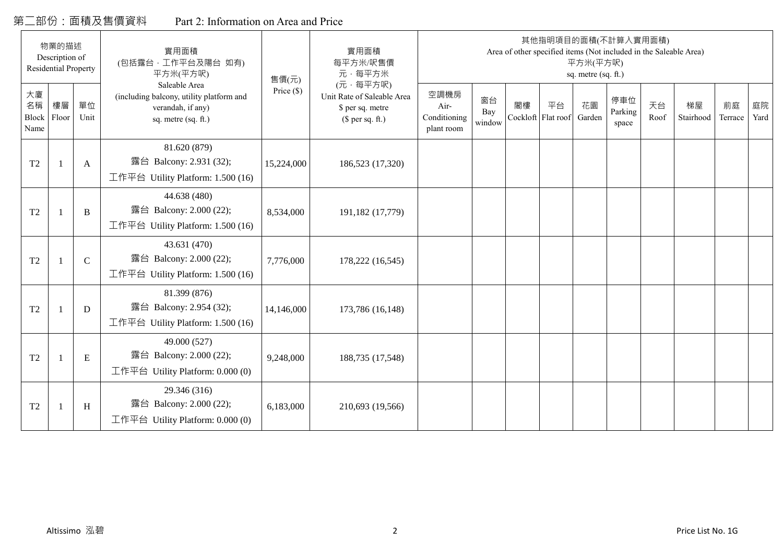## 第二部份:面積及售價資料 Part 2: Information on Area and Price

|                           | 物業的描述<br>Description of<br><b>Residential Property</b> |              | 實用面積<br>(包括露台,工作平台及陽台 如有)<br>平方米(平方呎)                                                                 | 售價(元)        | 實用面積<br>每平方米/呎售價<br>元·每平方米                                                     |                                            |                     |    | 其他指明項目的面積(不計算入實用面積)<br>Area of other specified items (Not included in the Saleable Area) | 平方米(平方呎)<br>sq. metre (sq. ft.) |                         |            |                 |               |            |
|---------------------------|--------------------------------------------------------|--------------|-------------------------------------------------------------------------------------------------------|--------------|--------------------------------------------------------------------------------|--------------------------------------------|---------------------|----|------------------------------------------------------------------------------------------|---------------------------------|-------------------------|------------|-----------------|---------------|------------|
| 大廈<br>名稱<br>Block<br>Name | 樓層<br>Floor                                            | 單位<br>Unit   | Saleable Area<br>(including balcony, utility platform and<br>verandah, if any)<br>sq. metre (sq. ft.) | Price $(\$)$ | (元·每平方呎)<br>Unit Rate of Saleable Area<br>\$ per sq. metre<br>$$$ per sq. ft.) | 空調機房<br>Air-<br>Conditioning<br>plant room | 窗台<br>Bay<br>window | 閣樓 | 平台<br>Cockloft Flat roof                                                                 | 花園<br>Garden                    | 停車位<br>Parking<br>space | 天台<br>Roof | 梯屋<br>Stairhood | 前庭<br>Terrace | 庭院<br>Yard |
| T <sub>2</sub>            |                                                        | A            | 81.620 (879)<br>露台 Balcony: 2.931 (32);<br>工作平台 Utility Platform: 1.500 (16)                          | 15,224,000   | 186,523 (17,320)                                                               |                                            |                     |    |                                                                                          |                                 |                         |            |                 |               |            |
| T <sub>2</sub>            |                                                        | B            | 44.638 (480)<br>露台 Balcony: 2.000 (22);<br>工作平台 Utility Platform: 1.500 (16)                          | 8,534,000    | 191,182 (17,779)                                                               |                                            |                     |    |                                                                                          |                                 |                         |            |                 |               |            |
| T <sub>2</sub>            |                                                        | $\mathsf{C}$ | 43.631(470)<br>露台 Balcony: 2.000 (22);<br>工作平台 Utility Platform: 1.500 (16)                           | 7,776,000    | 178,222 (16,545)                                                               |                                            |                     |    |                                                                                          |                                 |                         |            |                 |               |            |
| T <sub>2</sub>            |                                                        | D            | 81.399 (876)<br>露台 Balcony: 2.954 (32);<br>工作平台 Utility Platform: 1.500 (16)                          | 14,146,000   | 173,786 (16,148)                                                               |                                            |                     |    |                                                                                          |                                 |                         |            |                 |               |            |
| T2                        |                                                        | E            | 49.000 (527)<br>露台 Balcony: 2.000 (22);<br>工作平台 Utility Platform: 0.000 (0)                           | 9,248,000    | 188,735 (17,548)                                                               |                                            |                     |    |                                                                                          |                                 |                         |            |                 |               |            |
| T <sub>2</sub>            | -1                                                     | H            | 29.346 (316)<br>露台 Balcony: 2.000 (22);<br>工作平台 Utility Platform: 0.000 (0)                           | 6,183,000    | 210,693 (19,566)                                                               |                                            |                     |    |                                                                                          |                                 |                         |            |                 |               |            |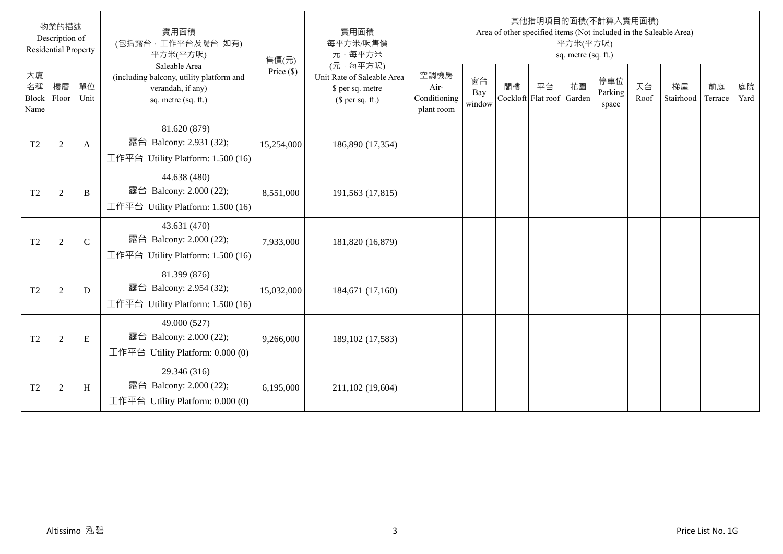|                           | 物業的描述<br>Description of<br><b>Residential Property</b> |               | 實用面積<br>(包括露台,工作平台及陽台 如有)<br>平方米(平方呎)                                                                 | 售價(元)        | 實用面積<br>每平方米/呎售價<br>元·每平方米                                                     |                                            |                     |    |                          | 平方米(平方呎)<br>sq. metre (sq. ft.) | 其他指明項目的面積(不計算入實用面積)<br>Area of other specified items (Not included in the Saleable Area) |            |                 |               |            |
|---------------------------|--------------------------------------------------------|---------------|-------------------------------------------------------------------------------------------------------|--------------|--------------------------------------------------------------------------------|--------------------------------------------|---------------------|----|--------------------------|---------------------------------|------------------------------------------------------------------------------------------|------------|-----------------|---------------|------------|
| 大廈<br>名稱<br>Block<br>Name | 樓層<br>Floor                                            | 單位<br>Unit    | Saleable Area<br>(including balcony, utility platform and<br>verandah, if any)<br>sq. metre (sq. ft.) | Price $(\$)$ | (元·每平方呎)<br>Unit Rate of Saleable Area<br>\$ per sq. metre<br>(\$ per sq. ft.) | 空調機房<br>Air-<br>Conditioning<br>plant room | 窗台<br>Bay<br>window | 閣樓 | 平台<br>Cockloft Flat roof | 花園<br>Garden                    | 停車位<br>Parking<br>space                                                                  | 天台<br>Roof | 梯屋<br>Stairhood | 前庭<br>Terrace | 庭院<br>Yard |
| T <sub>2</sub>            | $\overline{2}$                                         | A             | 81.620 (879)<br>露台 Balcony: 2.931 (32);<br>工作平台 Utility Platform: 1.500 (16)                          | 15,254,000   | 186,890 (17,354)                                                               |                                            |                     |    |                          |                                 |                                                                                          |            |                 |               |            |
| T <sub>2</sub>            | $\overline{2}$                                         | B             | 44.638 (480)<br>露台 Balcony: 2.000 (22);<br>工作平台 Utility Platform: 1.500 (16)                          | 8,551,000    | 191,563 (17,815)                                                               |                                            |                     |    |                          |                                 |                                                                                          |            |                 |               |            |
| T <sub>2</sub>            | $\overline{2}$                                         | $\mathcal{C}$ | 43.631 (470)<br>露台 Balcony: 2.000 (22);<br>工作平台 Utility Platform: 1.500 (16)                          | 7,933,000    | 181,820 (16,879)                                                               |                                            |                     |    |                          |                                 |                                                                                          |            |                 |               |            |
| T <sub>2</sub>            | $\overline{2}$                                         | D             | 81.399 (876)<br>露台 Balcony: 2.954 (32);<br>工作平台 Utility Platform: 1.500 (16)                          | 15,032,000   | 184,671 (17,160)                                                               |                                            |                     |    |                          |                                 |                                                                                          |            |                 |               |            |
| T <sub>2</sub>            | $\sqrt{2}$                                             | E             | 49.000 (527)<br>露台 Balcony: 2.000 (22);<br>工作平台 Utility Platform: $0.000(0)$                          | 9,266,000    | 189, 102 (17, 583)                                                             |                                            |                     |    |                          |                                 |                                                                                          |            |                 |               |            |
| T <sub>2</sub>            | $\overline{2}$                                         | H             | 29.346 (316)<br>露台 Balcony: 2.000 (22);<br>工作平台 Utility Platform: $0.000(0)$                          | 6,195,000    | 211,102 (19,604)                                                               |                                            |                     |    |                          |                                 |                                                                                          |            |                 |               |            |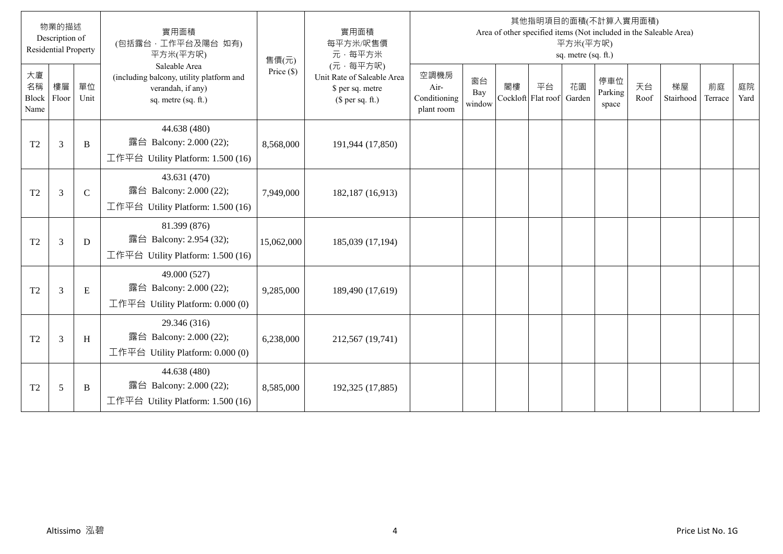|                           | 物業的描述<br>Description of<br><b>Residential Property</b> |               | 實用面積<br>(包括露台,工作平台及陽台 如有)<br>平方米(平方呎)                                                                 | 售價(元)        | 實用面積<br>每平方米/呎售價<br>元·每平方米                                                     |                                            |                     |    |                          | 平方米(平方呎)<br>sq. metre (sq. ft.) | 其他指明項目的面積(不計算入實用面積)<br>Area of other specified items (Not included in the Saleable Area) |            |                 |               |            |
|---------------------------|--------------------------------------------------------|---------------|-------------------------------------------------------------------------------------------------------|--------------|--------------------------------------------------------------------------------|--------------------------------------------|---------------------|----|--------------------------|---------------------------------|------------------------------------------------------------------------------------------|------------|-----------------|---------------|------------|
| 大廈<br>名稱<br>Block<br>Name | 樓層<br>Floor                                            | 單位<br>Unit    | Saleable Area<br>(including balcony, utility platform and<br>verandah, if any)<br>sq. metre (sq. ft.) | Price $(\$)$ | (元·每平方呎)<br>Unit Rate of Saleable Area<br>\$ per sq. metre<br>(\$ per sq. ft.) | 空調機房<br>Air-<br>Conditioning<br>plant room | 窗台<br>Bay<br>window | 閣樓 | 平台<br>Cockloft Flat roof | 花園<br>Garden                    | 停車位<br>Parking<br>space                                                                  | 天台<br>Roof | 梯屋<br>Stairhood | 前庭<br>Terrace | 庭院<br>Yard |
| T <sub>2</sub>            | 3                                                      | B             | 44.638 (480)<br>露台 Balcony: 2.000 (22);<br>工作平台 Utility Platform: 1.500 (16)                          | 8,568,000    | 191,944 (17,850)                                                               |                                            |                     |    |                          |                                 |                                                                                          |            |                 |               |            |
| T <sub>2</sub>            | 3                                                      | $\mathcal{C}$ | 43.631 (470)<br>露台 Balcony: 2.000 (22);<br>工作平台 Utility Platform: 1.500 (16)                          | 7,949,000    | 182,187 (16,913)                                                               |                                            |                     |    |                          |                                 |                                                                                          |            |                 |               |            |
| T <sub>2</sub>            | 3                                                      | D             | 81.399 (876)<br>露台 Balcony: 2.954 (32);<br>工作平台 Utility Platform: 1.500 (16)                          | 15,062,000   | 185,039 (17,194)                                                               |                                            |                     |    |                          |                                 |                                                                                          |            |                 |               |            |
| T <sub>2</sub>            | 3                                                      | E             | 49.000 (527)<br>露台 Balcony: 2.000 (22);<br>工作平台 Utility Platform: 0.000 (0)                           | 9,285,000    | 189,490 (17,619)                                                               |                                            |                     |    |                          |                                 |                                                                                          |            |                 |               |            |
| T <sub>2</sub>            | 3                                                      | H             | 29.346 (316)<br>露台 Balcony: 2.000 (22);<br>工作平台 Utility Platform: $0.000(0)$                          | 6,238,000    | 212,567 (19,741)                                                               |                                            |                     |    |                          |                                 |                                                                                          |            |                 |               |            |
| T <sub>2</sub>            | 5                                                      | B             | 44.638 (480)<br>露台 Balcony: 2.000 (22);<br>工作平台 Utility Platform: 1.500 (16)                          | 8,585,000    | 192,325 (17,885)                                                               |                                            |                     |    |                          |                                 |                                                                                          |            |                 |               |            |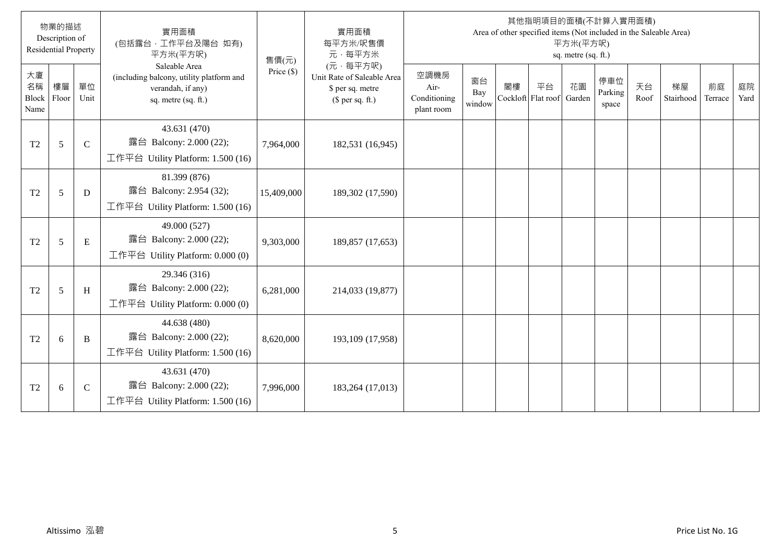|                                  | 物業的描述<br>Description of<br><b>Residential Property</b> |               | 實用面積<br>(包括露台, 工作平台及陽台 如有)<br>平方米(平方呎)                                                                | 售價(元)        | 實用面積<br>每平方米/呎售價<br>元·每平方米                                                     |                                            |                     |                          | 其他指明項目的面積(不計算入實用面積)<br>Area of other specified items (Not included in the Saleable Area) | 平方米(平方呎)<br>sq. metre (sq. ft.) |                         |            |                 |               |            |
|----------------------------------|--------------------------------------------------------|---------------|-------------------------------------------------------------------------------------------------------|--------------|--------------------------------------------------------------------------------|--------------------------------------------|---------------------|--------------------------|------------------------------------------------------------------------------------------|---------------------------------|-------------------------|------------|-----------------|---------------|------------|
| 大廈<br>名稱<br><b>Block</b><br>Name | 樓層<br>Floor                                            | 單位<br>Unit    | Saleable Area<br>(including balcony, utility platform and<br>verandah, if any)<br>sq. metre (sq. ft.) | Price $(\$)$ | (元·每平方呎)<br>Unit Rate of Saleable Area<br>\$ per sq. metre<br>$$$ per sq. ft.) | 空調機房<br>Air-<br>Conditioning<br>plant room | 窗台<br>Bay<br>window | 閣樓<br>Cockloft Flat roof | 平台                                                                                       | 花園<br>Garden                    | 停車位<br>Parking<br>space | 天台<br>Roof | 梯屋<br>Stairhood | 前庭<br>Terrace | 庭院<br>Yard |
| T2                               | 5                                                      | $\mathcal{C}$ | 43.631 (470)<br>露台 Balcony: 2.000 (22);<br>工作平台 Utility Platform: 1.500 (16)                          | 7,964,000    | 182,531 (16,945)                                                               |                                            |                     |                          |                                                                                          |                                 |                         |            |                 |               |            |
| T <sub>2</sub>                   | 5                                                      | D             | 81.399 (876)<br>露台 Balcony: 2.954 (32);<br>工作平台 Utility Platform: 1.500 (16)                          | 15,409,000   | 189,302 (17,590)                                                               |                                            |                     |                          |                                                                                          |                                 |                         |            |                 |               |            |
| T2                               | 5                                                      | E             | 49.000 (527)<br>露台 Balcony: 2.000 (22);<br>工作平台 Utility Platform: $0.000(0)$                          | 9,303,000    | 189,857 (17,653)                                                               |                                            |                     |                          |                                                                                          |                                 |                         |            |                 |               |            |
| T <sub>2</sub>                   | 5                                                      | H             | 29.346 (316)<br>露台 Balcony: 2.000 (22);<br>工作平台 Utility Platform: $0.000(0)$                          | 6,281,000    | 214,033 (19,877)                                                               |                                            |                     |                          |                                                                                          |                                 |                         |            |                 |               |            |
| T <sub>2</sub>                   | 6                                                      | B             | 44.638 (480)<br>露台 Balcony: 2.000 (22);<br>工作平台 Utility Platform: 1.500 (16)                          | 8,620,000    | 193,109 (17,958)                                                               |                                            |                     |                          |                                                                                          |                                 |                         |            |                 |               |            |
| T2                               | 6                                                      | $\mathsf{C}$  | 43.631 (470)<br>露台 Balcony: 2.000 (22);<br>工作平台 Utility Platform: 1.500 (16)                          | 7,996,000    | 183,264 (17,013)                                                               |                                            |                     |                          |                                                                                          |                                 |                         |            |                 |               |            |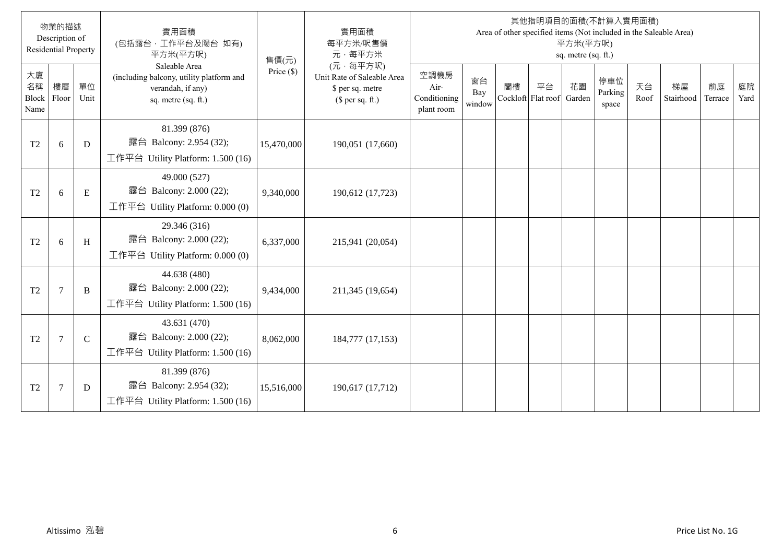|                           | 物業的描述<br>Description of<br><b>Residential Property</b> |              | 實用面積<br>(包括露台,工作平台及陽台 如有)<br>平方米(平方呎)                                                                 | 售價(元)        | 實用面積<br>每平方米/呎售價<br>元·每平方米                                                     |                                            |                     |    |                          | 平方米(平方呎)<br>sq. metre (sq. ft.) | 其他指明項目的面積(不計算入實用面積)<br>Area of other specified items (Not included in the Saleable Area) |            |                 |               |            |
|---------------------------|--------------------------------------------------------|--------------|-------------------------------------------------------------------------------------------------------|--------------|--------------------------------------------------------------------------------|--------------------------------------------|---------------------|----|--------------------------|---------------------------------|------------------------------------------------------------------------------------------|------------|-----------------|---------------|------------|
| 大廈<br>名稱<br>Block<br>Name | 樓層<br>Floor                                            | 單位<br>Unit   | Saleable Area<br>(including balcony, utility platform and<br>verandah, if any)<br>sq. metre (sq. ft.) | Price $(\$)$ | (元·每平方呎)<br>Unit Rate of Saleable Area<br>\$ per sq. metre<br>(\$ per sq. ft.) | 空調機房<br>Air-<br>Conditioning<br>plant room | 窗台<br>Bay<br>window | 閣樓 | 平台<br>Cockloft Flat roof | 花園<br>Garden                    | 停車位<br>Parking<br>space                                                                  | 天台<br>Roof | 梯屋<br>Stairhood | 前庭<br>Terrace | 庭院<br>Yard |
| T <sub>2</sub>            | 6                                                      | D            | 81.399 (876)<br>露台 Balcony: 2.954 (32);<br>工作平台 Utility Platform: 1.500 (16)                          | 15,470,000   | 190,051 (17,660)                                                               |                                            |                     |    |                          |                                 |                                                                                          |            |                 |               |            |
| T <sub>2</sub>            | 6                                                      | E            | 49.000 (527)<br>露台 Balcony: 2.000 (22);<br>工作平台 Utility Platform: $0.000(0)$                          | 9,340,000    | 190,612 (17,723)                                                               |                                            |                     |    |                          |                                 |                                                                                          |            |                 |               |            |
| T <sub>2</sub>            | 6                                                      | H            | 29.346 (316)<br>露台 Balcony: 2.000 (22);<br>工作平台 Utility Platform: 0.000 (0)                           | 6,337,000    | 215,941 (20,054)                                                               |                                            |                     |    |                          |                                 |                                                                                          |            |                 |               |            |
| T <sub>2</sub>            | $\overline{7}$                                         | B            | 44.638 (480)<br>露台 Balcony: 2.000 (22);<br>工作平台 Utility Platform: 1.500 (16)                          | 9,434,000    | 211,345 (19,654)                                                               |                                            |                     |    |                          |                                 |                                                                                          |            |                 |               |            |
| T <sub>2</sub>            | $\overline{7}$                                         | $\mathsf{C}$ | 43.631 (470)<br>露台 Balcony: 2.000 (22);<br>工作平台 Utility Platform: 1.500 (16)                          | 8,062,000    | 184,777 (17,153)                                                               |                                            |                     |    |                          |                                 |                                                                                          |            |                 |               |            |
| T <sub>2</sub>            | $\overline{7}$                                         | D            | 81.399 (876)<br>露台 Balcony: 2.954 (32);<br>工作平台 Utility Platform: 1.500 (16)                          | 15,516,000   | 190,617 (17,712)                                                               |                                            |                     |    |                          |                                 |                                                                                          |            |                 |               |            |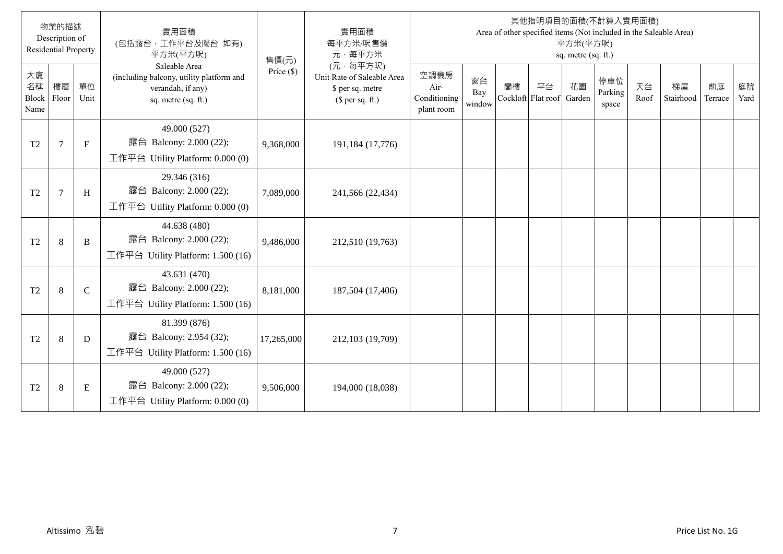|                           | 物業的描述<br>Description of<br><b>Residential Property</b> |               | 實用面積<br>(包括露台,工作平台及陽台 如有)<br>平方米(平方呎)                                                                 | 售價(元)        | 實用面積<br>每平方米/呎售價<br>元·每平方米                                                     |                                            |                     |    |                          | 平方米(平方呎)<br>sq. metre (sq. ft.) | 其他指明項目的面積(不計算入實用面積)<br>Area of other specified items (Not included in the Saleable Area) |            |                 |               |            |
|---------------------------|--------------------------------------------------------|---------------|-------------------------------------------------------------------------------------------------------|--------------|--------------------------------------------------------------------------------|--------------------------------------------|---------------------|----|--------------------------|---------------------------------|------------------------------------------------------------------------------------------|------------|-----------------|---------------|------------|
| 大廈<br>名稱<br>Block<br>Name | 樓層<br>Floor                                            | 單位<br>Unit    | Saleable Area<br>(including balcony, utility platform and<br>verandah, if any)<br>sq. metre (sq. ft.) | Price $(\$)$ | (元·每平方呎)<br>Unit Rate of Saleable Area<br>\$ per sq. metre<br>(\$ per sq. ft.) | 空調機房<br>Air-<br>Conditioning<br>plant room | 窗台<br>Bay<br>window | 閣樓 | 平台<br>Cockloft Flat roof | 花園<br>Garden                    | 停車位<br>Parking<br>space                                                                  | 天台<br>Roof | 梯屋<br>Stairhood | 前庭<br>Terrace | 庭院<br>Yard |
| T <sub>2</sub>            | $\overline{7}$                                         | E             | 49.000 (527)<br>露台 Balcony: 2.000 (22);<br>工作平台 Utility Platform: 0.000 (0)                           | 9,368,000    | 191,184 (17,776)                                                               |                                            |                     |    |                          |                                 |                                                                                          |            |                 |               |            |
| T <sub>2</sub>            | $7\phantom{.0}$                                        | H             | 29.346 (316)<br>露台 Balcony: 2.000 (22);<br>工作平台 Utility Platform: 0.000 (0)                           | 7,089,000    | 241,566 (22,434)                                                               |                                            |                     |    |                          |                                 |                                                                                          |            |                 |               |            |
| T <sub>2</sub>            | $\,8\,$                                                | B             | 44.638 (480)<br>露台 Balcony: 2.000 (22);<br>工作平台 Utility Platform: 1.500 (16)                          | 9,486,000    | 212,510 (19,763)                                                               |                                            |                     |    |                          |                                 |                                                                                          |            |                 |               |            |
| T <sub>2</sub>            | 8                                                      | $\mathcal{C}$ | 43.631 (470)<br>露台 Balcony: 2.000 (22);<br>工作平台 Utility Platform: 1.500 (16)                          | 8,181,000    | 187,504 (17,406)                                                               |                                            |                     |    |                          |                                 |                                                                                          |            |                 |               |            |
| T <sub>2</sub>            | 8                                                      | D             | 81.399 (876)<br>露台 Balcony: 2.954 (32);<br>工作平台 Utility Platform: 1.500 (16)                          | 17,265,000   | 212,103 (19,709)                                                               |                                            |                     |    |                          |                                 |                                                                                          |            |                 |               |            |
| T <sub>2</sub>            | 8                                                      | E             | 49.000 (527)<br>露台 Balcony: 2.000 (22);<br>工作平台 Utility Platform: $0.000(0)$                          | 9,506,000    | 194,000 (18,038)                                                               |                                            |                     |    |                          |                                 |                                                                                          |            |                 |               |            |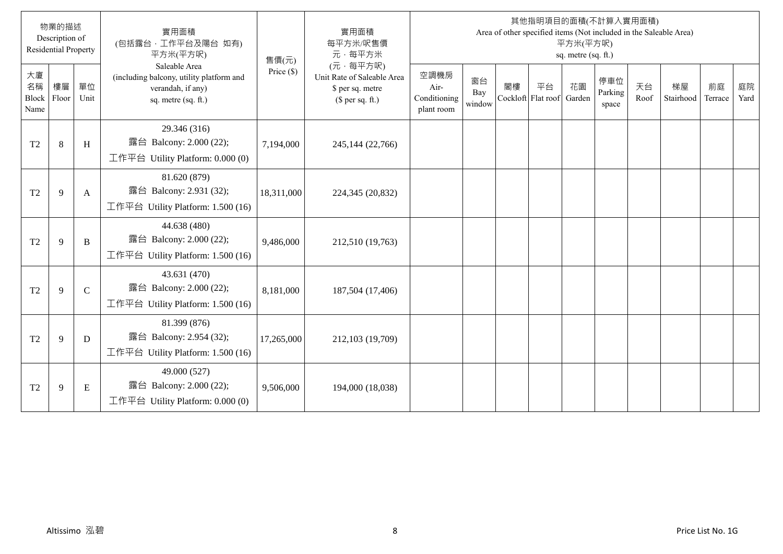|                           | 物業的描述<br>Description of<br><b>Residential Property</b> |               | 實用面積<br>(包括露台,工作平台及陽台 如有)<br>平方米(平方呎)                                                                 | 售價(元)        | 實用面積<br>每平方米/呎售價<br>元·每平方米                                                     |                                            |                     |    |                          | 平方米(平方呎)<br>sq. metre (sq. ft.) | 其他指明項目的面積(不計算入實用面積)<br>Area of other specified items (Not included in the Saleable Area) |            |                 |               |            |
|---------------------------|--------------------------------------------------------|---------------|-------------------------------------------------------------------------------------------------------|--------------|--------------------------------------------------------------------------------|--------------------------------------------|---------------------|----|--------------------------|---------------------------------|------------------------------------------------------------------------------------------|------------|-----------------|---------------|------------|
| 大廈<br>名稱<br>Block<br>Name | 樓層<br>Floor                                            | 單位<br>Unit    | Saleable Area<br>(including balcony, utility platform and<br>verandah, if any)<br>sq. metre (sq. ft.) | Price $(\$)$ | (元·每平方呎)<br>Unit Rate of Saleable Area<br>\$ per sq. metre<br>(\$ per sq. ft.) | 空調機房<br>Air-<br>Conditioning<br>plant room | 窗台<br>Bay<br>window | 閣樓 | 平台<br>Cockloft Flat roof | 花園<br>Garden                    | 停車位<br>Parking<br>space                                                                  | 天台<br>Roof | 梯屋<br>Stairhood | 前庭<br>Terrace | 庭院<br>Yard |
| T <sub>2</sub>            | 8                                                      | H             | 29.346 (316)<br>露台 Balcony: 2.000 (22);<br>工作平台 Utility Platform: 0.000 (0)                           | 7,194,000    | 245,144 (22,766)                                                               |                                            |                     |    |                          |                                 |                                                                                          |            |                 |               |            |
| T <sub>2</sub>            | 9                                                      | A             | 81.620 (879)<br>露台 Balcony: 2.931 (32);<br>工作平台 Utility Platform: 1.500 (16)                          | 18,311,000   | 224,345 (20,832)                                                               |                                            |                     |    |                          |                                 |                                                                                          |            |                 |               |            |
| T <sub>2</sub>            | 9                                                      | B             | 44.638 (480)<br>露台 Balcony: 2.000 (22);<br>工作平台 Utility Platform: 1.500 (16)                          | 9,486,000    | 212,510 (19,763)                                                               |                                            |                     |    |                          |                                 |                                                                                          |            |                 |               |            |
| T <sub>2</sub>            | 9                                                      | $\mathcal{C}$ | 43.631 (470)<br>露台 Balcony: 2.000 (22);<br>工作平台 Utility Platform: 1.500 (16)                          | 8,181,000    | 187,504 (17,406)                                                               |                                            |                     |    |                          |                                 |                                                                                          |            |                 |               |            |
| T <sub>2</sub>            | 9                                                      | D             | 81.399 (876)<br>露台 Balcony: 2.954 (32);<br>工作平台 Utility Platform: 1.500 (16)                          | 17,265,000   | 212,103 (19,709)                                                               |                                            |                     |    |                          |                                 |                                                                                          |            |                 |               |            |
| T <sub>2</sub>            | 9                                                      | E             | 49.000 (527)<br>露台 Balcony: 2.000 (22);<br>工作平台 Utility Platform: $0.000(0)$                          | 9,506,000    | 194,000 (18,038)                                                               |                                            |                     |    |                          |                                 |                                                                                          |            |                 |               |            |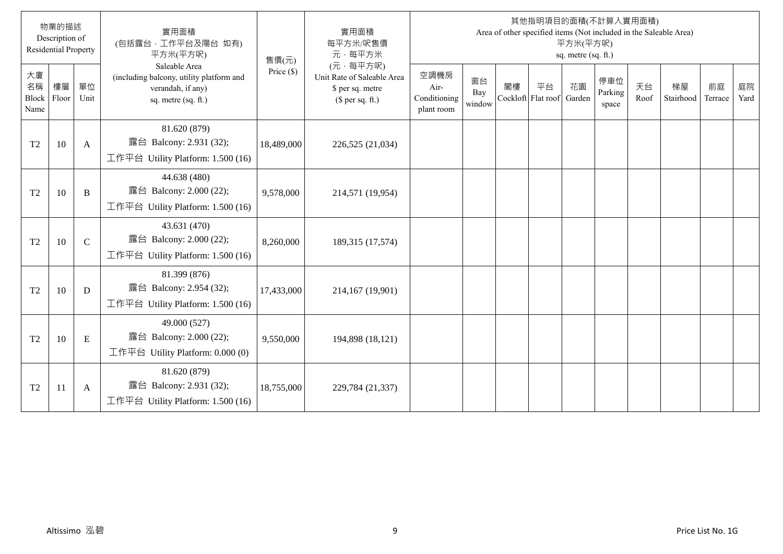|                           | 物業的描述<br>Description of<br><b>Residential Property</b> |               | 實用面積<br>(包括露台,工作平台及陽台 如有)<br>平方米(平方呎)                                                                 | 售價(元)        | 實用面積<br>每平方米/呎售價<br>元·每平方米                                                     |                                            |                     |    |                          | 平方米(平方呎)<br>sq. metre (sq. ft.) | 其他指明項目的面積(不計算入實用面積)<br>Area of other specified items (Not included in the Saleable Area) |            |                 |               |            |
|---------------------------|--------------------------------------------------------|---------------|-------------------------------------------------------------------------------------------------------|--------------|--------------------------------------------------------------------------------|--------------------------------------------|---------------------|----|--------------------------|---------------------------------|------------------------------------------------------------------------------------------|------------|-----------------|---------------|------------|
| 大廈<br>名稱<br>Block<br>Name | 樓層<br>Floor                                            | 單位<br>Unit    | Saleable Area<br>(including balcony, utility platform and<br>verandah, if any)<br>sq. metre (sq. ft.) | Price $(\$)$ | (元·每平方呎)<br>Unit Rate of Saleable Area<br>\$ per sq. metre<br>(\$ per sq. ft.) | 空調機房<br>Air-<br>Conditioning<br>plant room | 窗台<br>Bay<br>window | 閣樓 | 平台<br>Cockloft Flat roof | 花園<br>Garden                    | 停車位<br>Parking<br>space                                                                  | 天台<br>Roof | 梯屋<br>Stairhood | 前庭<br>Terrace | 庭院<br>Yard |
| T <sub>2</sub>            | 10                                                     | A             | 81.620 (879)<br>露台 Balcony: 2.931 (32);<br>工作平台 Utility Platform: 1.500 (16)                          | 18,489,000   | 226,525 (21,034)                                                               |                                            |                     |    |                          |                                 |                                                                                          |            |                 |               |            |
| T <sub>2</sub>            | 10                                                     | B             | 44.638 (480)<br>露台 Balcony: 2.000 (22);<br>工作平台 Utility Platform: 1.500 (16)                          | 9,578,000    | 214,571 (19,954)                                                               |                                            |                     |    |                          |                                 |                                                                                          |            |                 |               |            |
| T <sub>2</sub>            | 10                                                     | $\mathcal{C}$ | 43.631 (470)<br>露台 Balcony: 2.000 (22);<br>工作平台 Utility Platform: 1.500 (16)                          | 8,260,000    | 189,315 (17,574)                                                               |                                            |                     |    |                          |                                 |                                                                                          |            |                 |               |            |
| T <sub>2</sub>            | 10                                                     | D             | 81.399 (876)<br>露台 Balcony: 2.954 (32);<br>工作平台 Utility Platform: 1.500 (16)                          | 17,433,000   | 214,167 (19,901)                                                               |                                            |                     |    |                          |                                 |                                                                                          |            |                 |               |            |
| T <sub>2</sub>            | 10                                                     | E             | 49.000 (527)<br>露台 Balcony: 2.000 (22);<br>工作平台 Utility Platform: $0.000(0)$                          | 9,550,000    | 194,898 (18,121)                                                               |                                            |                     |    |                          |                                 |                                                                                          |            |                 |               |            |
| T <sub>2</sub>            | 11                                                     | A             | 81.620 (879)<br>露台 Balcony: 2.931 (32);<br>工作平台 Utility Platform: 1.500 (16)                          | 18,755,000   | 229,784 (21,337)                                                               |                                            |                     |    |                          |                                 |                                                                                          |            |                 |               |            |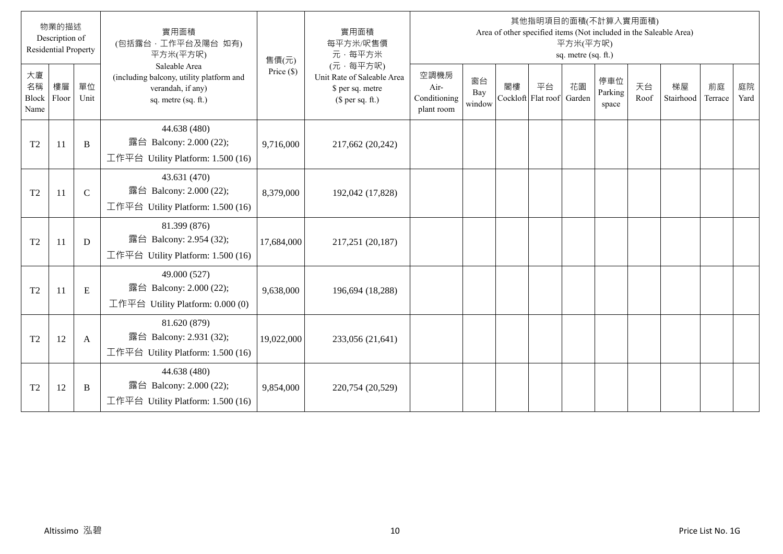|                           | 物業的描述<br>Description of<br><b>Residential Property</b> |               | 實用面積<br>(包括露台,工作平台及陽台 如有)<br>平方米(平方呎)                                                                 | 售價(元)        | 實用面積<br>每平方米/呎售價<br>元·每平方米                                                     |                                            |                     |    |                          | 平方米(平方呎)<br>sq. metre (sq. ft.) | 其他指明項目的面積(不計算入實用面積)<br>Area of other specified items (Not included in the Saleable Area) |            |                 |               |            |
|---------------------------|--------------------------------------------------------|---------------|-------------------------------------------------------------------------------------------------------|--------------|--------------------------------------------------------------------------------|--------------------------------------------|---------------------|----|--------------------------|---------------------------------|------------------------------------------------------------------------------------------|------------|-----------------|---------------|------------|
| 大廈<br>名稱<br>Block<br>Name | 樓層<br>Floor                                            | 單位<br>Unit    | Saleable Area<br>(including balcony, utility platform and<br>verandah, if any)<br>sq. metre (sq. ft.) | Price $(\$)$ | (元·每平方呎)<br>Unit Rate of Saleable Area<br>\$ per sq. metre<br>(\$ per sq. ft.) | 空調機房<br>Air-<br>Conditioning<br>plant room | 窗台<br>Bay<br>window | 閣樓 | 平台<br>Cockloft Flat roof | 花園<br>Garden                    | 停車位<br>Parking<br>space                                                                  | 天台<br>Roof | 梯屋<br>Stairhood | 前庭<br>Terrace | 庭院<br>Yard |
| T <sub>2</sub>            | 11                                                     | B             | 44.638 (480)<br>露台 Balcony: 2.000 (22);<br>工作平台 Utility Platform: 1.500 (16)                          | 9,716,000    | 217,662 (20,242)                                                               |                                            |                     |    |                          |                                 |                                                                                          |            |                 |               |            |
| T <sub>2</sub>            | 11                                                     | $\mathcal{C}$ | 43.631 (470)<br>露台 Balcony: 2.000 (22);<br>工作平台 Utility Platform: 1.500 (16)                          | 8,379,000    | 192,042 (17,828)                                                               |                                            |                     |    |                          |                                 |                                                                                          |            |                 |               |            |
| T <sub>2</sub>            | 11                                                     | D             | 81.399 (876)<br>露台 Balcony: 2.954 (32);<br>工作平台 Utility Platform: 1.500 (16)                          | 17,684,000   | 217,251 (20,187)                                                               |                                            |                     |    |                          |                                 |                                                                                          |            |                 |               |            |
| T <sub>2</sub>            | 11                                                     | E             | 49.000 (527)<br>露台 Balcony: 2.000 (22);<br>工作平台 Utility Platform: 0.000 (0)                           | 9,638,000    | 196,694 (18,288)                                                               |                                            |                     |    |                          |                                 |                                                                                          |            |                 |               |            |
| T <sub>2</sub>            | 12                                                     | A             | 81.620 (879)<br>露台 Balcony: 2.931 (32);<br>工作平台 Utility Platform: 1.500 (16)                          | 19,022,000   | 233,056 (21,641)                                                               |                                            |                     |    |                          |                                 |                                                                                          |            |                 |               |            |
| T <sub>2</sub>            | 12                                                     | B             | 44.638 (480)<br>露台 Balcony: 2.000 (22);<br>工作平台 Utility Platform: 1.500 (16)                          | 9,854,000    | 220,754 (20,529)                                                               |                                            |                     |    |                          |                                 |                                                                                          |            |                 |               |            |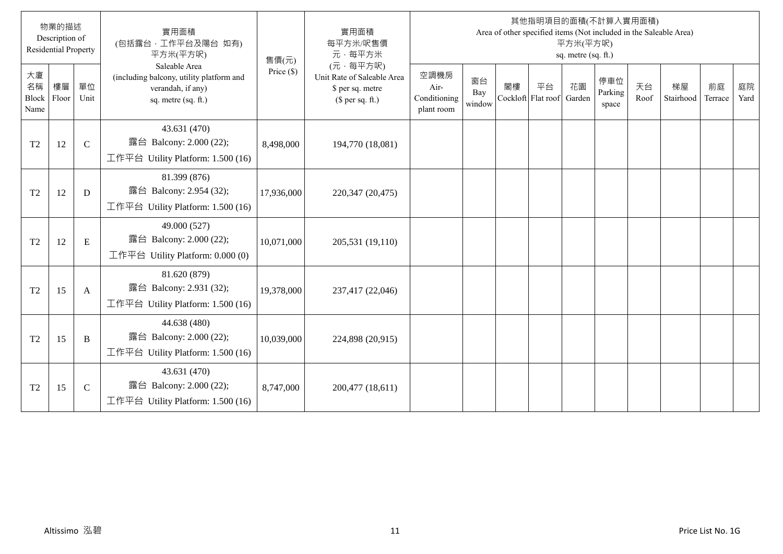|                           | 物業的描述<br>Description of<br><b>Residential Property</b> |               | 實用面積<br>(包括露台,工作平台及陽台 如有)<br>平方米(平方呎)                                                                 | 售價(元)        | 實用面積<br>每平方米/呎售價<br>元·每平方米                                                     |                                            |                     |    |                          | 平方米(平方呎)<br>sq. metre (sq. ft.) | 其他指明項目的面積(不計算入實用面積)<br>Area of other specified items (Not included in the Saleable Area) |            |                 |               |            |
|---------------------------|--------------------------------------------------------|---------------|-------------------------------------------------------------------------------------------------------|--------------|--------------------------------------------------------------------------------|--------------------------------------------|---------------------|----|--------------------------|---------------------------------|------------------------------------------------------------------------------------------|------------|-----------------|---------------|------------|
| 大廈<br>名稱<br>Block<br>Name | 樓層<br>Floor                                            | 單位<br>Unit    | Saleable Area<br>(including balcony, utility platform and<br>verandah, if any)<br>sq. metre (sq. ft.) | Price $(\$)$ | (元·每平方呎)<br>Unit Rate of Saleable Area<br>\$ per sq. metre<br>(\$ per sq. ft.) | 空調機房<br>Air-<br>Conditioning<br>plant room | 窗台<br>Bay<br>window | 閣樓 | 平台<br>Cockloft Flat roof | 花園<br>Garden                    | 停車位<br>Parking<br>space                                                                  | 天台<br>Roof | 梯屋<br>Stairhood | 前庭<br>Terrace | 庭院<br>Yard |
| T <sub>2</sub>            | 12                                                     | $\mathcal{C}$ | 43.631 (470)<br>露台 Balcony: 2.000 (22);<br>工作平台 Utility Platform: 1.500 (16)                          | 8,498,000    | 194,770 (18,081)                                                               |                                            |                     |    |                          |                                 |                                                                                          |            |                 |               |            |
| T <sub>2</sub>            | 12                                                     | D             | 81.399 (876)<br>露台 Balcony: 2.954 (32);<br>工作平台 Utility Platform: 1.500 (16)                          | 17,936,000   | 220,347 (20,475)                                                               |                                            |                     |    |                          |                                 |                                                                                          |            |                 |               |            |
| T <sub>2</sub>            | 12                                                     | E             | 49.000 (527)<br>露台 Balcony: 2.000 (22);<br>工作平台 Utility Platform: 0.000 (0)                           | 10,071,000   | 205,531 (19,110)                                                               |                                            |                     |    |                          |                                 |                                                                                          |            |                 |               |            |
| T <sub>2</sub>            | 15                                                     | A             | 81.620 (879)<br>露台 Balcony: 2.931 (32);<br>工作平台 Utility Platform: 1.500 (16)                          | 19,378,000   | 237,417 (22,046)                                                               |                                            |                     |    |                          |                                 |                                                                                          |            |                 |               |            |
| T <sub>2</sub>            | 15                                                     | B             | 44.638 (480)<br>露台 Balcony: 2.000 (22);<br>工作平台 Utility Platform: 1.500 (16)                          | 10,039,000   | 224,898 (20,915)                                                               |                                            |                     |    |                          |                                 |                                                                                          |            |                 |               |            |
| T <sub>2</sub>            | 15                                                     | $\mathsf{C}$  | 43.631 (470)<br>露台 Balcony: 2.000 (22);<br>工作平台 Utility Platform: 1.500 (16)                          | 8,747,000    | 200,477 (18,611)                                                               |                                            |                     |    |                          |                                 |                                                                                          |            |                 |               |            |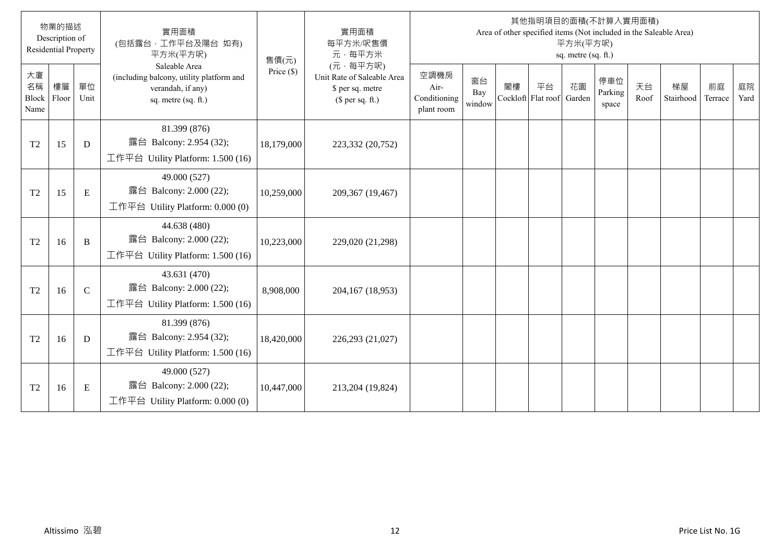|                           | 物業的描述<br>Description of<br><b>Residential Property</b> |               | 實用面積<br>(包括露台,工作平台及陽台 如有)<br>平方米(平方呎)                                                                 | 售價(元)        | 實用面積<br>每平方米/呎售價<br>元·每平方米                                                     |                                            |                     |    |                          | 平方米(平方呎)<br>sq. metre (sq. ft.) | 其他指明項目的面積(不計算入實用面積)<br>Area of other specified items (Not included in the Saleable Area) |            |                 |               |            |
|---------------------------|--------------------------------------------------------|---------------|-------------------------------------------------------------------------------------------------------|--------------|--------------------------------------------------------------------------------|--------------------------------------------|---------------------|----|--------------------------|---------------------------------|------------------------------------------------------------------------------------------|------------|-----------------|---------------|------------|
| 大廈<br>名稱<br>Block<br>Name | 樓層<br>Floor                                            | 單位<br>Unit    | Saleable Area<br>(including balcony, utility platform and<br>verandah, if any)<br>sq. metre (sq. ft.) | Price $(\$)$ | (元·每平方呎)<br>Unit Rate of Saleable Area<br>\$ per sq. metre<br>(\$ per sq. ft.) | 空調機房<br>Air-<br>Conditioning<br>plant room | 窗台<br>Bay<br>window | 閣樓 | 平台<br>Cockloft Flat roof | 花園<br>Garden                    | 停車位<br>Parking<br>space                                                                  | 天台<br>Roof | 梯屋<br>Stairhood | 前庭<br>Terrace | 庭院<br>Yard |
| T <sub>2</sub>            | 15                                                     | D             | 81.399 (876)<br>露台 Balcony: 2.954 (32);<br>工作平台 Utility Platform: 1.500 (16)                          | 18,179,000   | 223,332 (20,752)                                                               |                                            |                     |    |                          |                                 |                                                                                          |            |                 |               |            |
| T <sub>2</sub>            | 15                                                     | E             | 49.000 (527)<br>露台 Balcony: 2.000 (22);<br>工作平台 Utility Platform: $0.000(0)$                          | 10,259,000   | 209,367 (19,467)                                                               |                                            |                     |    |                          |                                 |                                                                                          |            |                 |               |            |
| T <sub>2</sub>            | 16                                                     | B             | 44.638 (480)<br>露台 Balcony: 2.000 (22);<br>工作平台 Utility Platform: 1.500 (16)                          | 10,223,000   | 229,020 (21,298)                                                               |                                            |                     |    |                          |                                 |                                                                                          |            |                 |               |            |
| T <sub>2</sub>            | 16                                                     | $\mathcal{C}$ | 43.631 (470)<br>露台 Balcony: 2.000 (22);<br>工作平台 Utility Platform: 1.500 (16)                          | 8,908,000    | 204,167 (18,953)                                                               |                                            |                     |    |                          |                                 |                                                                                          |            |                 |               |            |
| T <sub>2</sub>            | 16                                                     | D             | 81.399 (876)<br>露台 Balcony: 2.954 (32);<br>工作平台 Utility Platform: 1.500 (16)                          | 18,420,000   | 226,293 (21,027)                                                               |                                            |                     |    |                          |                                 |                                                                                          |            |                 |               |            |
| T <sub>2</sub>            | 16                                                     | E             | 49.000 (527)<br>露台 Balcony: 2.000 (22);<br>工作平台 Utility Platform: $0.000(0)$                          | 10,447,000   | 213,204 (19,824)                                                               |                                            |                     |    |                          |                                 |                                                                                          |            |                 |               |            |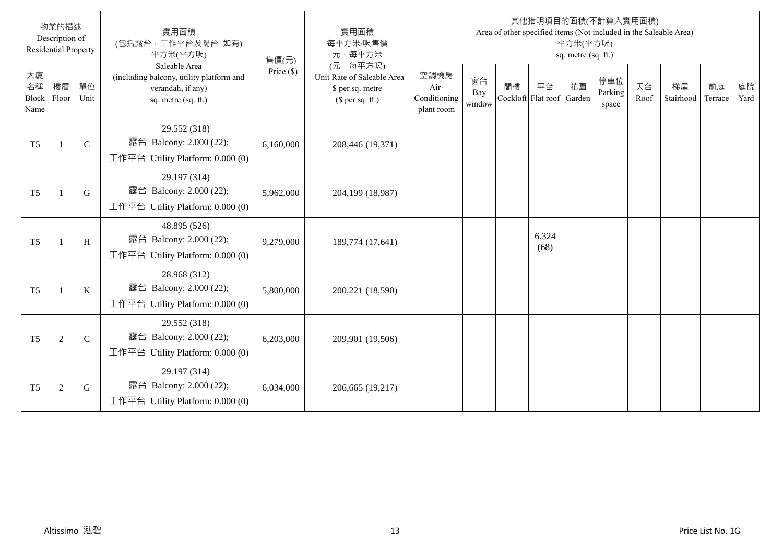|                           | 物業的描述<br>Description of<br><b>Residential Property</b> |               | 實用面積<br>(包括露台,工作平台及陽台 如有)<br>平方米(平方呎)                                                                 | 售價(元)        | 實用面積<br>每平方米/呎售價<br>元·每平方米                                                     |                                            |                     |    |                          | 平方米(平方呎)<br>sq. metre (sq. ft.) | 其他指明項目的面積(不計算入實用面積)<br>Area of other specified items (Not included in the Saleable Area) |            |                 |               |            |
|---------------------------|--------------------------------------------------------|---------------|-------------------------------------------------------------------------------------------------------|--------------|--------------------------------------------------------------------------------|--------------------------------------------|---------------------|----|--------------------------|---------------------------------|------------------------------------------------------------------------------------------|------------|-----------------|---------------|------------|
| 大廈<br>名稱<br>Block<br>Name | 樓層<br>Floor                                            | 單位<br>Unit    | Saleable Area<br>(including balcony, utility platform and<br>verandah, if any)<br>sq. metre (sq. ft.) | Price $(\$)$ | (元·每平方呎)<br>Unit Rate of Saleable Area<br>\$ per sq. metre<br>(\$ per sq. ft.) | 空調機房<br>Air-<br>Conditioning<br>plant room | 窗台<br>Bay<br>window | 閣樓 | 平台<br>Cockloft Flat roof | 花園<br>Garden                    | 停車位<br>Parking<br>space                                                                  | 天台<br>Roof | 梯屋<br>Stairhood | 前庭<br>Terrace | 庭院<br>Yard |
| T <sub>5</sub>            | $\overline{1}$                                         | $\mathcal{C}$ | 29.552 (318)<br>露台 Balcony: 2.000 (22);<br>工作平台 Utility Platform: 0.000 (0)                           | 6,160,000    | 208,446 (19,371)                                                               |                                            |                     |    |                          |                                 |                                                                                          |            |                 |               |            |
| T <sub>5</sub>            | $\overline{1}$                                         | G             | 29.197 (314)<br>露台 Balcony: 2.000 (22);<br>工作平台 Utility Platform: $0.000(0)$                          | 5,962,000    | 204,199 (18,987)                                                               |                                            |                     |    |                          |                                 |                                                                                          |            |                 |               |            |
| T <sub>5</sub>            | $\mathbf{1}$                                           | H             | 48.895 (526)<br>露台 Balcony: 2.000 (22);<br>工作平台 Utility Platform: 0.000 (0)                           | 9,279,000    | 189,774 (17,641)                                                               |                                            |                     |    | 6.324<br>(68)            |                                 |                                                                                          |            |                 |               |            |
| T <sub>5</sub>            | $\mathbf{1}$                                           | K             | 28.968 (312)<br>露台 Balcony: 2.000 (22);<br>工作平台 Utility Platform: $0.000(0)$                          | 5,800,000    | 200,221 (18,590)                                                               |                                            |                     |    |                          |                                 |                                                                                          |            |                 |               |            |
| T <sub>5</sub>            | $\sqrt{2}$                                             | $\mathsf{C}$  | 29.552 (318)<br>露台 Balcony: 2.000 (22);<br>工作平台 Utility Platform: $0.000(0)$                          | 6,203,000    | 209,901 (19,506)                                                               |                                            |                     |    |                          |                                 |                                                                                          |            |                 |               |            |
| T <sub>5</sub>            | $\overline{2}$                                         | G             | 29.197 (314)<br>露台 Balcony: 2.000 (22);<br>工作平台 Utility Platform: $0.000(0)$                          | 6,034,000    | 206,665 (19,217)                                                               |                                            |                     |    |                          |                                 |                                                                                          |            |                 |               |            |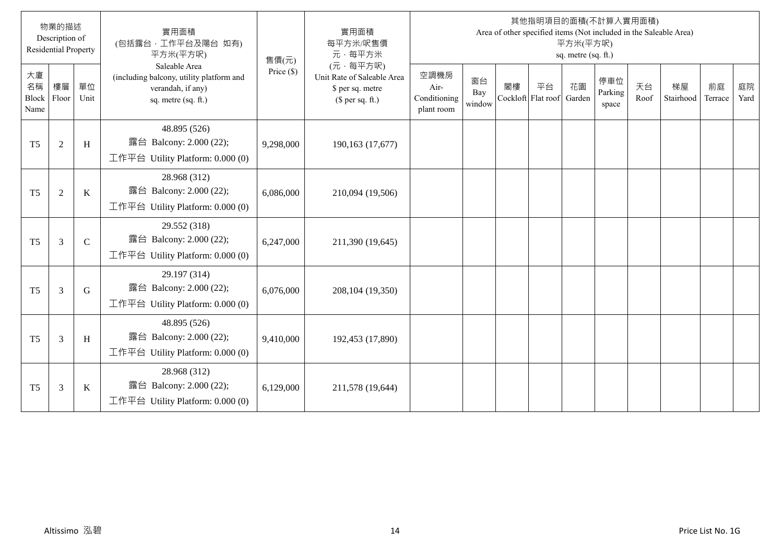|                           | 物業的描述<br>Description of<br><b>Residential Property</b> |              | 實用面積<br>(包括露台,工作平台及陽台 如有)<br>平方米(平方呎)                                                                 | 售價(元)        | 實用面積<br>每平方米/呎售價<br>元·每平方米                                                     |                                            |                     |    |                          | 平方米(平方呎)<br>sq. metre (sq. ft.) | 其他指明項目的面積(不計算入實用面積)<br>Area of other specified items (Not included in the Saleable Area) |            |                 |               |            |
|---------------------------|--------------------------------------------------------|--------------|-------------------------------------------------------------------------------------------------------|--------------|--------------------------------------------------------------------------------|--------------------------------------------|---------------------|----|--------------------------|---------------------------------|------------------------------------------------------------------------------------------|------------|-----------------|---------------|------------|
| 大廈<br>名稱<br>Block<br>Name | 樓層<br>Floor                                            | 單位<br>Unit   | Saleable Area<br>(including balcony, utility platform and<br>verandah, if any)<br>sq. metre (sq. ft.) | Price $(\$)$ | (元·每平方呎)<br>Unit Rate of Saleable Area<br>\$ per sq. metre<br>(\$ per sq. ft.) | 空調機房<br>Air-<br>Conditioning<br>plant room | 窗台<br>Bay<br>window | 閣樓 | 平台<br>Cockloft Flat roof | 花園<br>Garden                    | 停車位<br>Parking<br>space                                                                  | 天台<br>Roof | 梯屋<br>Stairhood | 前庭<br>Terrace | 庭院<br>Yard |
| T <sub>5</sub>            | $\overline{2}$                                         | H            | 48.895 (526)<br>露台 Balcony: 2.000 (22);<br>工作平台 Utility Platform: 0.000 (0)                           | 9,298,000    | 190,163 (17,677)                                                               |                                            |                     |    |                          |                                 |                                                                                          |            |                 |               |            |
| T <sub>5</sub>            | $\overline{2}$                                         | K            | 28.968 (312)<br>露台 Balcony: 2.000 (22);<br>工作平台 Utility Platform: 0.000 (0)                           | 6,086,000    | 210,094 (19,506)                                                               |                                            |                     |    |                          |                                 |                                                                                          |            |                 |               |            |
| T <sub>5</sub>            | 3                                                      | $\mathsf{C}$ | 29.552 (318)<br>露台 Balcony: 2.000 (22);<br>工作平台 Utility Platform: 0.000 (0)                           | 6,247,000    | 211,390 (19,645)                                                               |                                            |                     |    |                          |                                 |                                                                                          |            |                 |               |            |
| T <sub>5</sub>            | 3                                                      | G            | 29.197 (314)<br>露台 Balcony: 2.000 (22);<br>工作平台 Utility Platform: $0.000(0)$                          | 6,076,000    | 208,104 (19,350)                                                               |                                            |                     |    |                          |                                 |                                                                                          |            |                 |               |            |
| T <sub>5</sub>            | 3                                                      | H            | 48.895 (526)<br>露台 Balcony: 2.000 (22);<br>工作平台 Utility Platform: $0.000(0)$                          | 9,410,000    | 192,453 (17,890)                                                               |                                            |                     |    |                          |                                 |                                                                                          |            |                 |               |            |
| T <sub>5</sub>            | 3                                                      | K            | 28.968 (312)<br>露台 Balcony: 2.000 (22);<br>工作平台 Utility Platform: $0.000(0)$                          | 6,129,000    | 211,578 (19,644)                                                               |                                            |                     |    |                          |                                 |                                                                                          |            |                 |               |            |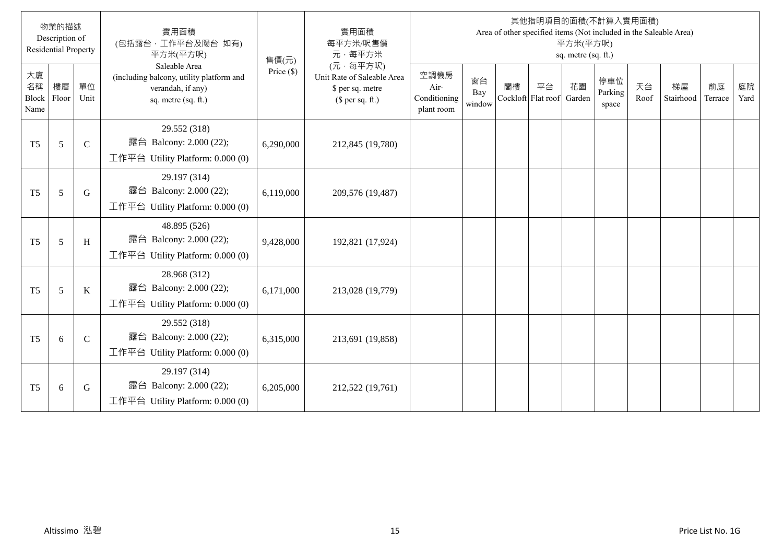|                                  | 物業的描述<br>Description of<br><b>Residential Property</b> |              | 實用面積<br>(包括露台·工作平台及陽台 如有)<br>平方米(平方呎)                                                                 | 售價(元)        | 實用面積<br>每平方米/呎售價<br>元·每平方米                                                     |                                            |                     |    |                          | 平方米(平方呎)<br>sq. metre (sq. ft.) | 其他指明項目的面積(不計算入實用面積)<br>Area of other specified items (Not included in the Saleable Area) |            |                 |               |            |
|----------------------------------|--------------------------------------------------------|--------------|-------------------------------------------------------------------------------------------------------|--------------|--------------------------------------------------------------------------------|--------------------------------------------|---------------------|----|--------------------------|---------------------------------|------------------------------------------------------------------------------------------|------------|-----------------|---------------|------------|
| 大廈<br>名稱<br><b>Block</b><br>Name | 樓層<br>Floor                                            | 單位<br>Unit   | Saleable Area<br>(including balcony, utility platform and<br>verandah, if any)<br>sq. metre (sq. ft.) | Price $(\$)$ | (元·每平方呎)<br>Unit Rate of Saleable Area<br>\$ per sq. metre<br>(\$ per sq. ft.) | 空調機房<br>Air-<br>Conditioning<br>plant room | 窗台<br>Bay<br>window | 閣樓 | 平台<br>Cockloft Flat roof | 花園<br>Garden                    | 停車位<br>Parking<br>space                                                                  | 天台<br>Roof | 梯屋<br>Stairhood | 前庭<br>Terrace | 庭院<br>Yard |
| T <sub>5</sub>                   | 5                                                      | $\mathsf{C}$ | 29.552 (318)<br>露台 Balcony: 2.000 (22);<br>工作平台 Utility Platform: 0.000 (0)                           | 6,290,000    | 212,845 (19,780)                                                               |                                            |                     |    |                          |                                 |                                                                                          |            |                 |               |            |
| T <sub>5</sub>                   | 5                                                      | G            | 29.197 (314)<br>露台 Balcony: 2.000 (22);<br>工作平台 Utility Platform: 0.000 (0)                           | 6,119,000    | 209,576 (19,487)                                                               |                                            |                     |    |                          |                                 |                                                                                          |            |                 |               |            |
| T <sub>5</sub>                   | 5                                                      | H            | 48.895 (526)<br>露台 Balcony: 2.000 (22);<br>工作平台 Utility Platform: $0.000(0)$                          | 9,428,000    | 192,821 (17,924)                                                               |                                            |                     |    |                          |                                 |                                                                                          |            |                 |               |            |
| T <sub>5</sub>                   | 5                                                      | K            | 28.968 (312)<br>露台 Balcony: 2.000 (22);<br>工作平台 Utility Platform: 0.000 (0)                           | 6,171,000    | 213,028 (19,779)                                                               |                                            |                     |    |                          |                                 |                                                                                          |            |                 |               |            |
| T <sub>5</sub>                   | 6                                                      | $\mathsf{C}$ | 29.552 (318)<br>露台 Balcony: 2.000 (22);<br>工作平台 Utility Platform: $0.000(0)$                          | 6,315,000    | 213,691 (19,858)                                                               |                                            |                     |    |                          |                                 |                                                                                          |            |                 |               |            |
| T <sub>5</sub>                   | 6                                                      | G            | 29.197 (314)<br>露台 Balcony: 2.000 (22);<br>工作平台 Utility Platform: $0.000(0)$                          | 6,205,000    | 212,522 (19,761)                                                               |                                            |                     |    |                          |                                 |                                                                                          |            |                 |               |            |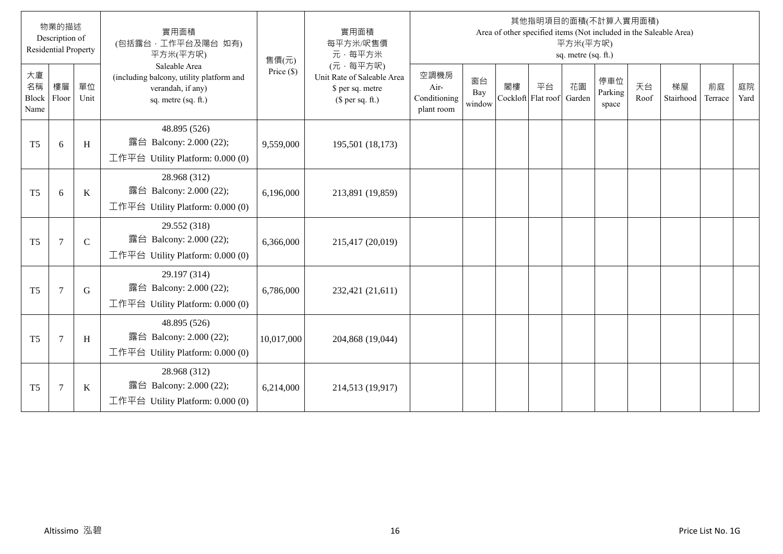|                           | 物業的描述<br>Description of<br><b>Residential Property</b> |              | 實用面積<br>(包括露台,工作平台及陽台 如有)<br>平方米(平方呎)                                                                 | 售價(元)        | 實用面積<br>每平方米/呎售價<br>元·每平方米                                                     |                                            |                     |    |                          | 平方米(平方呎)<br>sq. metre (sq. ft.) | 其他指明項目的面積(不計算入實用面積)<br>Area of other specified items (Not included in the Saleable Area) |            |                 |               |            |
|---------------------------|--------------------------------------------------------|--------------|-------------------------------------------------------------------------------------------------------|--------------|--------------------------------------------------------------------------------|--------------------------------------------|---------------------|----|--------------------------|---------------------------------|------------------------------------------------------------------------------------------|------------|-----------------|---------------|------------|
| 大廈<br>名稱<br>Block<br>Name | 樓層<br>Floor                                            | 單位<br>Unit   | Saleable Area<br>(including balcony, utility platform and<br>verandah, if any)<br>sq. metre (sq. ft.) | Price $(\$)$ | (元·每平方呎)<br>Unit Rate of Saleable Area<br>\$ per sq. metre<br>(\$ per sq. ft.) | 空調機房<br>Air-<br>Conditioning<br>plant room | 窗台<br>Bay<br>window | 閣樓 | 平台<br>Cockloft Flat roof | 花園<br>Garden                    | 停車位<br>Parking<br>space                                                                  | 天台<br>Roof | 梯屋<br>Stairhood | 前庭<br>Terrace | 庭院<br>Yard |
| T <sub>5</sub>            | 6                                                      | H            | 48.895 (526)<br>露台 Balcony: 2.000 (22);<br>工作平台 Utility Platform: 0.000 (0)                           | 9,559,000    | 195,501 (18,173)                                                               |                                            |                     |    |                          |                                 |                                                                                          |            |                 |               |            |
| T <sub>5</sub>            | 6                                                      | K            | 28.968 (312)<br>露台 Balcony: 2.000 (22);<br>工作平台 Utility Platform: 0.000 (0)                           | 6,196,000    | 213,891 (19,859)                                                               |                                            |                     |    |                          |                                 |                                                                                          |            |                 |               |            |
| T <sub>5</sub>            | $\overline{7}$                                         | $\mathsf{C}$ | 29.552 (318)<br>露台 Balcony: 2.000 (22);<br>工作平台 Utility Platform: 0.000 (0)                           | 6,366,000    | 215,417 (20,019)                                                               |                                            |                     |    |                          |                                 |                                                                                          |            |                 |               |            |
| T <sub>5</sub>            | $\overline{7}$                                         | G            | 29.197 (314)<br>露台 Balcony: 2.000 (22);<br>工作平台 Utility Platform: 0.000 (0)                           | 6,786,000    | 232,421 (21,611)                                                               |                                            |                     |    |                          |                                 |                                                                                          |            |                 |               |            |
| T <sub>5</sub>            | $\overline{7}$                                         | H            | 48.895 (526)<br>露台 Balcony: 2.000 (22);<br>工作平台 Utility Platform: $0.000(0)$                          | 10,017,000   | 204,868 (19,044)                                                               |                                            |                     |    |                          |                                 |                                                                                          |            |                 |               |            |
| T <sub>5</sub>            | $\overline{7}$                                         | K            | 28.968 (312)<br>露台 Balcony: 2.000 (22);<br>工作平台 Utility Platform: $0.000(0)$                          | 6,214,000    | 214,513 (19,917)                                                               |                                            |                     |    |                          |                                 |                                                                                          |            |                 |               |            |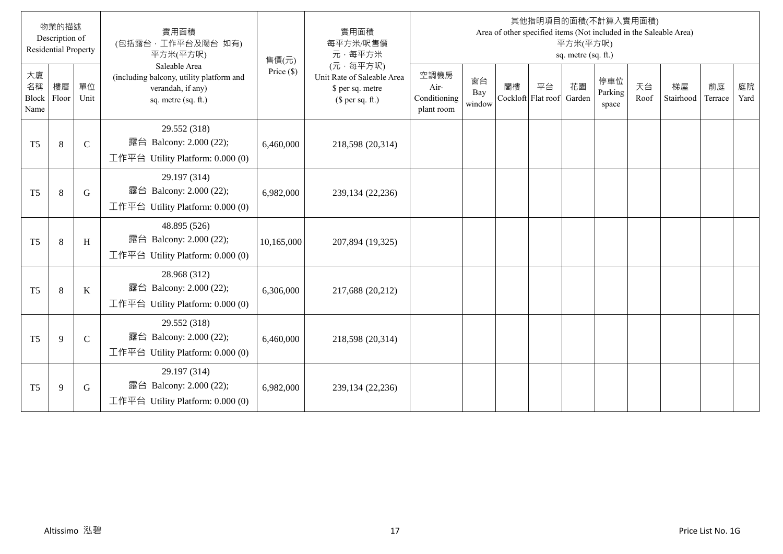|                           | 物業的描述<br>Description of<br><b>Residential Property</b> |               | 實用面積<br>(包括露台,工作平台及陽台 如有)<br>平方米(平方呎)                                                                 | 售價(元)        | 實用面積<br>每平方米/呎售價<br>元·每平方米                                                     |                                            |                     |    |                          | 平方米(平方呎)<br>sq. metre (sq. ft.) | 其他指明項目的面積(不計算入實用面積)<br>Area of other specified items (Not included in the Saleable Area) |            |                 |               |            |
|---------------------------|--------------------------------------------------------|---------------|-------------------------------------------------------------------------------------------------------|--------------|--------------------------------------------------------------------------------|--------------------------------------------|---------------------|----|--------------------------|---------------------------------|------------------------------------------------------------------------------------------|------------|-----------------|---------------|------------|
| 大廈<br>名稱<br>Block<br>Name | 樓層<br>Floor                                            | 單位<br>Unit    | Saleable Area<br>(including balcony, utility platform and<br>verandah, if any)<br>sq. metre (sq. ft.) | Price $(\$)$ | (元·每平方呎)<br>Unit Rate of Saleable Area<br>\$ per sq. metre<br>(\$ per sq. ft.) | 空調機房<br>Air-<br>Conditioning<br>plant room | 窗台<br>Bay<br>window | 閣樓 | 平台<br>Cockloft Flat roof | 花園<br>Garden                    | 停車位<br>Parking<br>space                                                                  | 天台<br>Roof | 梯屋<br>Stairhood | 前庭<br>Terrace | 庭院<br>Yard |
| T <sub>5</sub>            | 8                                                      | $\mathcal{C}$ | 29.552 (318)<br>露台 Balcony: 2.000 (22);<br>工作平台 Utility Platform: 0.000 (0)                           | 6,460,000    | 218,598 (20,314)                                                               |                                            |                     |    |                          |                                 |                                                                                          |            |                 |               |            |
| T <sub>5</sub>            | 8                                                      | G             | 29.197 (314)<br>露台 Balcony: 2.000 (22);<br>工作平台 Utility Platform: $0.000(0)$                          | 6,982,000    | 239,134 (22,236)                                                               |                                            |                     |    |                          |                                 |                                                                                          |            |                 |               |            |
| T <sub>5</sub>            | $\,8\,$                                                | H             | 48.895 (526)<br>露台 Balcony: 2.000 (22);<br>工作平台 Utility Platform: 0.000 (0)                           | 10,165,000   | 207,894 (19,325)                                                               |                                            |                     |    |                          |                                 |                                                                                          |            |                 |               |            |
| T <sub>5</sub>            | 8                                                      | K             | 28.968 (312)<br>露台 Balcony: 2.000 (22);<br>工作平台 Utility Platform: $0.000(0)$                          | 6,306,000    | 217,688 (20,212)                                                               |                                            |                     |    |                          |                                 |                                                                                          |            |                 |               |            |
| T <sub>5</sub>            | 9                                                      | $\mathsf{C}$  | 29.552 (318)<br>露台 Balcony: 2.000 (22);<br>工作平台 Utility Platform: $0.000(0)$                          | 6,460,000    | 218,598 (20,314)                                                               |                                            |                     |    |                          |                                 |                                                                                          |            |                 |               |            |
| T <sub>5</sub>            | 9                                                      | G             | 29.197 (314)<br>露台 Balcony: 2.000 (22);<br>工作平台 Utility Platform: $0.000(0)$                          | 6,982,000    | 239,134 (22,236)                                                               |                                            |                     |    |                          |                                 |                                                                                          |            |                 |               |            |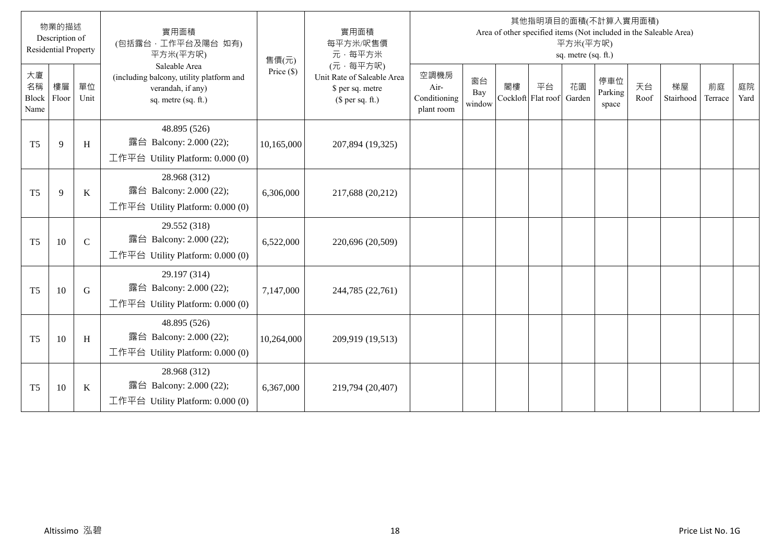|                           | 物業的描述<br>Description of<br><b>Residential Property</b> |              | 實用面積<br>(包括露台,工作平台及陽台 如有)<br>平方米(平方呎)                                                                 | 售價(元)        | 實用面積<br>每平方米/呎售價<br>元·每平方米                                                     |                                            |                     |    |                          | 平方米(平方呎)<br>sq. metre (sq. ft.) | 其他指明項目的面積(不計算入實用面積)<br>Area of other specified items (Not included in the Saleable Area) |            |                 |               |            |
|---------------------------|--------------------------------------------------------|--------------|-------------------------------------------------------------------------------------------------------|--------------|--------------------------------------------------------------------------------|--------------------------------------------|---------------------|----|--------------------------|---------------------------------|------------------------------------------------------------------------------------------|------------|-----------------|---------------|------------|
| 大廈<br>名稱<br>Block<br>Name | 樓層<br>Floor                                            | 單位<br>Unit   | Saleable Area<br>(including balcony, utility platform and<br>verandah, if any)<br>sq. metre (sq. ft.) | Price $(\$)$ | (元·每平方呎)<br>Unit Rate of Saleable Area<br>\$ per sq. metre<br>(\$ per sq. ft.) | 空調機房<br>Air-<br>Conditioning<br>plant room | 窗台<br>Bay<br>window | 閣樓 | 平台<br>Cockloft Flat roof | 花園<br>Garden                    | 停車位<br>Parking<br>space                                                                  | 天台<br>Roof | 梯屋<br>Stairhood | 前庭<br>Terrace | 庭院<br>Yard |
| T <sub>5</sub>            | 9                                                      | H            | 48.895 (526)<br>露台 Balcony: 2.000 (22);<br>工作平台 Utility Platform: 0.000 (0)                           | 10,165,000   | 207,894 (19,325)                                                               |                                            |                     |    |                          |                                 |                                                                                          |            |                 |               |            |
| T <sub>5</sub>            | 9                                                      | K            | 28.968 (312)<br>露台 Balcony: 2.000 (22);<br>工作平台 Utility Platform: 0.000 (0)                           | 6,306,000    | 217,688 (20,212)                                                               |                                            |                     |    |                          |                                 |                                                                                          |            |                 |               |            |
| T <sub>5</sub>            | 10                                                     | $\mathsf{C}$ | 29.552 (318)<br>露台 Balcony: 2.000 (22);<br>工作平台 Utility Platform: 0.000 (0)                           | 6,522,000    | 220,696 (20,509)                                                               |                                            |                     |    |                          |                                 |                                                                                          |            |                 |               |            |
| T <sub>5</sub>            | 10                                                     | G            | 29.197 (314)<br>露台 Balcony: 2.000 (22);<br>工作平台 Utility Platform: $0.000(0)$                          | 7,147,000    | 244,785 (22,761)                                                               |                                            |                     |    |                          |                                 |                                                                                          |            |                 |               |            |
| T <sub>5</sub>            | 10                                                     | H            | 48.895 (526)<br>露台 Balcony: 2.000 (22);<br>工作平台 Utility Platform: $0.000(0)$                          | 10,264,000   | 209,919 (19,513)                                                               |                                            |                     |    |                          |                                 |                                                                                          |            |                 |               |            |
| T <sub>5</sub>            | 10                                                     | K            | 28.968 (312)<br>露台 Balcony: 2.000 (22);<br>工作平台 Utility Platform: $0.000(0)$                          | 6,367,000    | 219,794 (20,407)                                                               |                                            |                     |    |                          |                                 |                                                                                          |            |                 |               |            |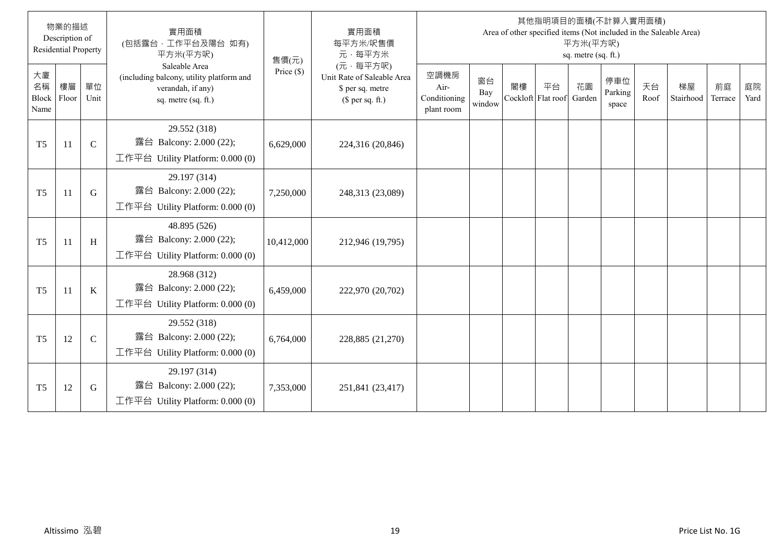|                           | 物業的描述<br>Description of<br><b>Residential Property</b> |               | 實用面積<br>(包括露台·工作平台及陽台 如有)<br>平方米(平方呎)                                                                 | 售價(元)        | 實用面積<br>每平方米/呎售價<br>元·每平方米                                                     |                                            |                     |                          |    | 平方米(平方呎)<br>sq. metre (sq. ft.) | 其他指明項目的面積(不計算入實用面積)     |            | Area of other specified items (Not included in the Saleable Area) |               |            |
|---------------------------|--------------------------------------------------------|---------------|-------------------------------------------------------------------------------------------------------|--------------|--------------------------------------------------------------------------------|--------------------------------------------|---------------------|--------------------------|----|---------------------------------|-------------------------|------------|-------------------------------------------------------------------|---------------|------------|
| 大廈<br>名稱<br>Block<br>Name | 樓層<br>Floor                                            | 單位<br>Unit    | Saleable Area<br>(including balcony, utility platform and<br>verandah, if any)<br>sq. metre (sq. ft.) | Price $(\$)$ | (元·每平方呎)<br>Unit Rate of Saleable Area<br>\$ per sq. metre<br>$$$ per sq. ft.) | 空調機房<br>Air-<br>Conditioning<br>plant room | 窗台<br>Bay<br>window | 閣樓<br>Cockloft Flat roof | 平台 | 花園<br>Garden                    | 停車位<br>Parking<br>space | 天台<br>Roof | 梯屋<br>Stairhood                                                   | 前庭<br>Terrace | 庭院<br>Yard |
| T <sub>5</sub>            | 11                                                     | $\mathcal{C}$ | 29.552 (318)<br>露台 Balcony: 2.000 (22);<br>工作平台 Utility Platform: 0.000 (0)                           | 6,629,000    | 224,316 (20,846)                                                               |                                            |                     |                          |    |                                 |                         |            |                                                                   |               |            |
| T <sub>5</sub>            | 11                                                     | G             | 29.197 (314)<br>露台 Balcony: 2.000 (22);<br>工作平台 Utility Platform: 0.000 (0)                           | 7,250,000    | 248,313 (23,089)                                                               |                                            |                     |                          |    |                                 |                         |            |                                                                   |               |            |
| T <sub>5</sub>            | 11                                                     | H             | 48.895 (526)<br>露台 Balcony: 2.000 (22);<br>工作平台 Utility Platform: $0.000(0)$                          | 10,412,000   | 212,946 (19,795)                                                               |                                            |                     |                          |    |                                 |                         |            |                                                                   |               |            |
| T <sub>5</sub>            | 11                                                     | K             | 28.968 (312)<br>露台 Balcony: 2.000 (22);<br>工作平台 Utility Platform: $0.000(0)$                          | 6,459,000    | 222,970 (20,702)                                                               |                                            |                     |                          |    |                                 |                         |            |                                                                   |               |            |
| T <sub>5</sub>            | 12                                                     | $\mathsf{C}$  | 29.552 (318)<br>露台 Balcony: 2.000 (22);<br>工作平台 Utility Platform: 0.000 (0)                           | 6,764,000    | 228,885 (21,270)                                                               |                                            |                     |                          |    |                                 |                         |            |                                                                   |               |            |
| T <sub>5</sub>            | 12                                                     | G             | 29.197 (314)<br>露台 Balcony: 2.000 (22);<br>工作平台 Utility Platform: 0.000 (0)                           | 7,353,000    | 251,841 (23,417)                                                               |                                            |                     |                          |    |                                 |                         |            |                                                                   |               |            |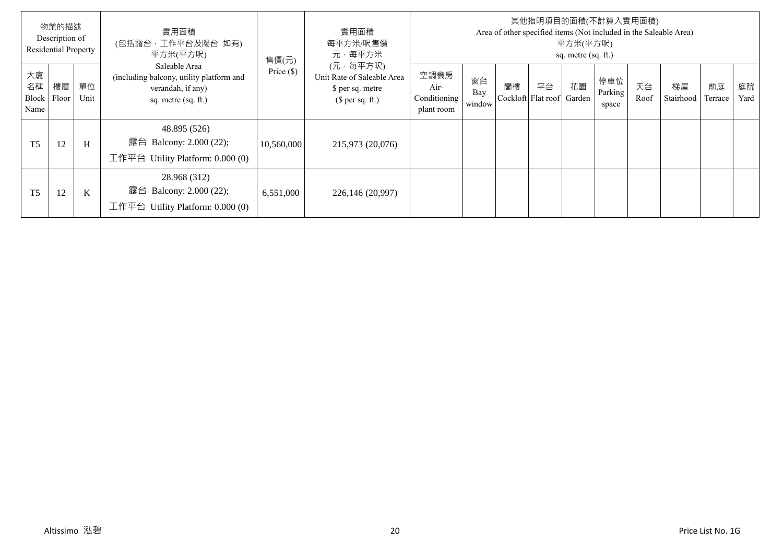|                  | 物業的描述<br>Description of<br><b>Residential Property</b> |             | 實用面積<br>(包括露台,工作平台及陽台 如有)<br>平方米(平方呎)                                                                 | 售價(元)        | 實用面積<br>每平方米/呎售價<br>元·每平方米                                                     |                                            |                     |    |                          | 平方米(平方呎)<br>sq. metre (sq. ft.) | 其他指明項目的面積(不計算入實用面積)     |            | Area of other specified items (Not included in the Saleable Area) |               |            |
|------------------|--------------------------------------------------------|-------------|-------------------------------------------------------------------------------------------------------|--------------|--------------------------------------------------------------------------------|--------------------------------------------|---------------------|----|--------------------------|---------------------------------|-------------------------|------------|-------------------------------------------------------------------|---------------|------------|
| 大廈<br>名稱<br>Name | 樓層<br>Block Floor                                      | 單位<br>Unit  | Saleable Area<br>(including balcony, utility platform and<br>verandah, if any)<br>sq. metre (sq. ft.) | Price $(\$)$ | (元·每平方呎)<br>Unit Rate of Saleable Area<br>\$ per sq. metre<br>$$$ per sq. ft.) | 空調機房<br>Air-<br>Conditioning<br>plant room | 窗台<br>Bay<br>window | 閣樓 | 平台<br>Cockloft Flat roof | 花園<br>Garden                    | 停車位<br>Parking<br>space | 天台<br>Roof | 梯屋<br>Stairhood                                                   | 前庭<br>Terrace | 庭院<br>Yard |
| T <sub>5</sub>   | 12                                                     | H           | 48.895 (526)<br>露台 Balcony: 2.000 (22);<br>工作平台 Utility Platform: $0.000(0)$                          | 10,560,000   | 215,973 (20,076)                                                               |                                            |                     |    |                          |                                 |                         |            |                                                                   |               |            |
| T <sub>5</sub>   | 12                                                     | $\mathbf K$ | 28.968 (312)<br>露台 Balcony: 2.000 (22);<br>工作平台 Utility Platform: $0.000(0)$                          | 6,551,000    | 226,146 (20,997)                                                               |                                            |                     |    |                          |                                 |                         |            |                                                                   |               |            |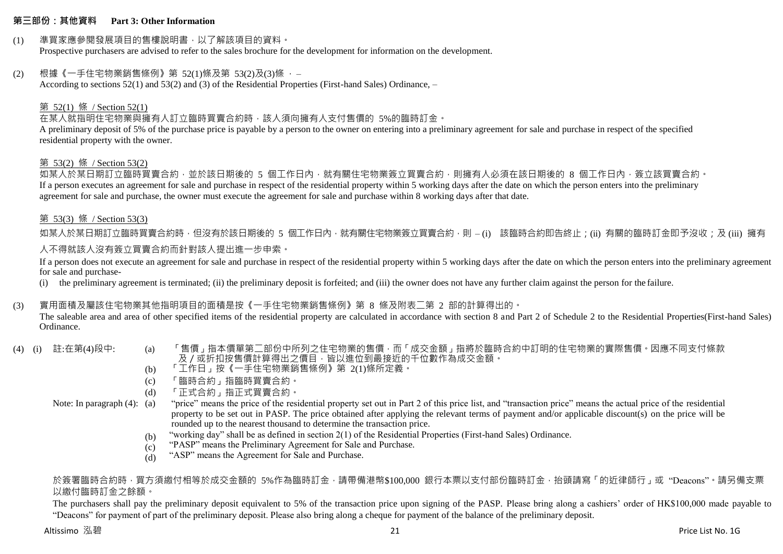#### **第三部份:其他資料 Part 3: Other Information**

### (1) 準買家應參閱發展項目的售樓說明書,以了解該項目的資料。

Prospective purchasers are advised to refer to the sales brochure for the development for information on the development.

## (2) 根據《一手住宅物業銷售條例》第 52(1)條及第 53(2)及(3)條 ,–

According to sections 52(1) and 53(2) and (3) of the Residential Properties (First-hand Sales) Ordinance, –

## 第 52(1) 條 / Section 52(1)

在某人就指明住宅物業與擁有人訂立臨時買賣合約時,該人須向擁有人支付售價的 5%的臨時訂金。

A preliminary deposit of 5% of the purchase price is payable by a person to the owner on entering into a preliminary agreement for sale and purchase in respect of the specified residential property with the owner.

#### 第 53(2) 條 / Section 53(2)

如某人於某日期訂立臨時買賣合約,並於該日期後的 5 個工作日內,就有關住宅物業簽立買賣合約,則擁有人必須在該日期後的 8 個工作日內,簽立該買賣合約。 If a person executes an agreement for sale and purchase in respect of the residential property within 5 working days after the date on which the person enters into the preliminary agreement for sale and purchase, the owner must execute the agreement for sale and purchase within 8 working days after that date.

## 第 53(3) 條 / Section 53(3)

如某人於某日期訂立臨時買賣合約時,但沒有於該日期後的 5 個工作日內,就有關住宅物業簽立買賣合約,則 – (i) 該臨時合約即告終止;(ii) 有關的臨時訂金即予沒收;及 (iii) 擁有 人不得就該人沒有簽立買賣合約而針對該人提出進一步申索。

If a person does not execute an agreement for sale and purchase in respect of the residential property within 5 working days after the date on which the person enters into the preliminary agreement for sale and purchase-

(i) the preliminary agreement is terminated; (ii) the preliminary deposit is forfeited; and (iii) the owner does not have any further claim against the person for the failure.

## (3) 實用面積及屬該住宅物業其他指明項目的面積是按《一手住宅物業銷售條例》第 8 條及附表二第 2 部的計算得出的。

The saleable area and area of other specified items of the residential property are calculated in accordance with section 8 and Part 2 of Schedule 2 to the Residential Properties(First-hand Sales) Ordinance.

- 
- (4) (i) 註:在第(4)段中: (a) 「售價」指本價單第二部份中所列之住宅物業的售價,而「成交金額」指將於臨時合約中訂明的住宅物業的實際售價。因應不同支付條款 及/或折扣按售價計算得出之價目,皆以進位到最接近的千位數作為成交金額。
	- (b) 「工作日」按《一手住宅物業銷售條例》第 2(1)條所定義。
	- (c) 「臨時合約」指臨時買賣合約。
	- (d) 「正式合約」指正式買賣合約。

Note: In paragraph (4): (a)

- "price" means the price of the residential property set out in Part 2 of this price list, and "transaction price" means the actual price of the residential property to be set out in PASP. The price obtained after applying the relevant terms of payment and/or applicable discount(s) on the price will be rounded up to the nearest thousand to determine the transaction price.
- (b) "working day" shall be as defined in section 2(1) of the Residential Properties (First-hand Sales) Ordinance.
- (c) "PASP" means the Preliminary Agreement for Sale and Purchase.
- (d) "ASP" means the Agreement for Sale and Purchase.

#### 於簽署臨時合約時,買方須繳付相等於成交金額的 5%作為臨時訂金,請帶備港幣\$100,000 銀行本票以支付部份臨時訂金,抬頭請寫「的折律師行」或"Deacons"。請另備支票 以繳付臨時訂金之餘額。

The purchasers shall pay the preliminary deposit equivalent to 5% of the transaction price upon signing of the PASP. Please bring along a cashiers' order of HK\$100,000 made payable to "Deacons" for payment of part of the preliminary deposit. Please also bring along a cheque for payment of the balance of the preliminary deposit.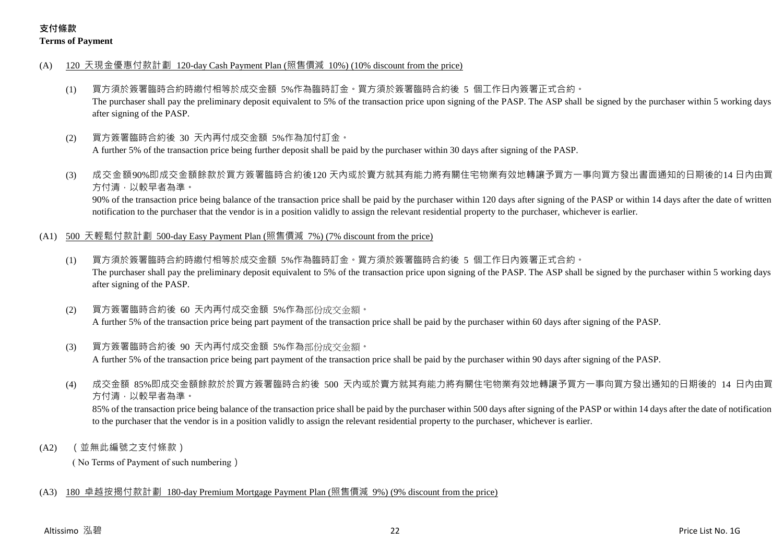## **支付條款 Terms of Payment**

- (A) 120 天現金優惠付款計劃 120-day Cash Payment Plan (照售價減 10%) (10% discount from the price)
	- (1) 買方須於簽署臨時合約時繳付相等於成交金額 5%作為臨時訂金。買方須於簽署臨時合約後 5 個工作日內簽署正式合約。 The purchaser shall pay the preliminary deposit equivalent to 5% of the transaction price upon signing of the PASP. The ASP shall be signed by the purchaser within 5 working days after signing of the PASP.
	- (2) 買方簽署臨時合約後 30 天內再付成交金額 5%作為加付訂金。

A further 5% of the transaction price being further deposit shall be paid by the purchaser within 30 days after signing of the PASP.

(3) 成交金額90%即成交金額餘款於買方簽署臨時合約後120 天內或於賣方就其有能力將有關住宅物業有效地轉讓予買方一事向買方發出書面通知的日期後的14 日內由買 方付清,以較早者為準。

90% of the transaction price being balance of the transaction price shall be paid by the purchaser within 120 days after signing of the PASP or within 14 days after the date of written notification to the purchaser that the vendor is in a position validly to assign the relevant residential property to the purchaser, whichever is earlier.

- (A1) 500 天輕鬆付款計劃 500-day Easy Payment Plan (照售價減 7%) (7% discount from the price)
	- (1) 買方須於簽署臨時合約時繳付相等於成交金額 5%作為臨時訂金。買方須於簽署臨時合約後 5 個工作日內簽署正式合約。 The purchaser shall pay the preliminary deposit equivalent to 5% of the transaction price upon signing of the PASP. The ASP shall be signed by the purchaser within 5 working days after signing of the PASP.
	- (2) 買方簽署臨時合約後 60 天內再付成交金額 5%作為部份成交金額。 A further 5% of the transaction price being part payment of the transaction price shall be paid by the purchaser within 60 days after signing of the PASP.
	- (3) 買方簽署臨時合約後 90 天內再付成交金額 5%作為部份成交金額。 A further 5% of the transaction price being part payment of the transaction price shall be paid by the purchaser within 90 days after signing of the PASP.
	- (4) 成交金額 85%即成交金額餘款於於買方簽署臨時合約後 500 天內或於賣方就其有能力將有關住宅物業有效地轉讓予買方一事向買方發出通知的日期後的 14 日內由買 方付清,以較早者為準。

85% of the transaction price being balance of the transaction price shall be paid by the purchaser within 500 days after signing of the PASP or within 14 days after the date of notification to the purchaser that the vendor is in a position validly to assign the relevant residential property to the purchaser, whichever is earlier.

(A2) (並無此編號之支付條款)

( No Terms of Payment of such numbering)

## (A3) 180 卓越按揭付款計劃 180-day Premium Mortgage Payment Plan (照售價減 9%) (9% discount from the price)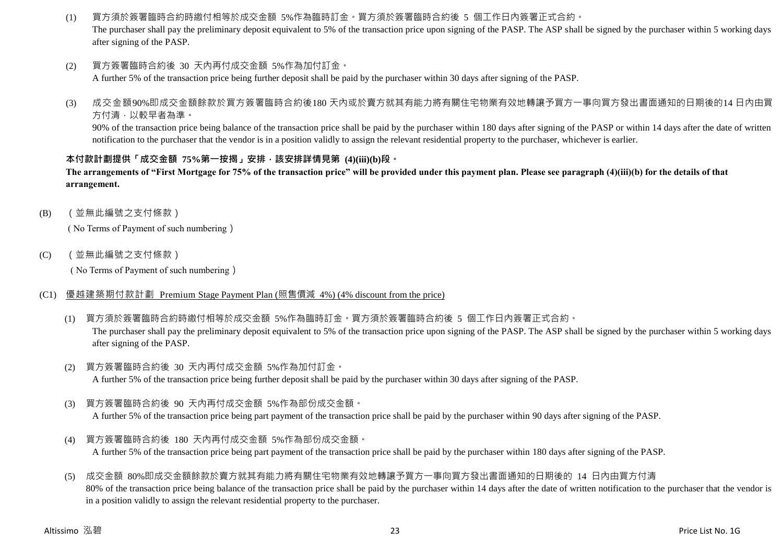(1) 買方須於簽署臨時合約時繳付相等於成交金額 5%作為臨時訂金。買方須於簽署臨時合約後 5 個工作日內簽署正式合約。

The purchaser shall pay the preliminary deposit equivalent to 5% of the transaction price upon signing of the PASP. The ASP shall be signed by the purchaser within 5 working days after signing of the PASP.

(2) 買方簽署臨時合約後 30 天內再付成交金額 5%作為加付訂金。

A further 5% of the transaction price being further deposit shall be paid by the purchaser within 30 days after signing of the PASP.

(3) 成交金額90%即成交金額餘款於買方簽署臨時合約後180 天內或於賣方就其有能力將有關住宅物業有效地轉讓予買方一事向買方發出書面通知的日期後的14 日內由買 方付清,以較早者為準。

90% of the transaction price being balance of the transaction price shall be paid by the purchaser within 180 days after signing of the PASP or within 14 days after the date of written notification to the purchaser that the vendor is in a position validly to assign the relevant residential property to the purchaser, whichever is earlier.

#### **本付款計劃提供「成交金額 75%第一按揭」安排,該安排詳情見第 (4)(iii)(b)段。**

**The arrangements of "First Mortgage for 75% of the transaction price" will be provided under this payment plan. Please see paragraph (4)(iii)(b) for the details of that arrangement.**

(B) (並無此編號之支付條款)

( No Terms of Payment of such numbering)

(C) (並無此編號之支付條款)

( No Terms of Payment of such numbering)

- (C1) 優越建築期付款計劃 Premium Stage Payment Plan (照售價減 4%) (4% discount from the price)
	- (1) 買方須於簽署臨時合約時繳付相等於成交金額 5%作為臨時訂金。買方須於簽署臨時合約後 5 個工作日內簽署正式合約。 The purchaser shall pay the preliminary deposit equivalent to 5% of the transaction price upon signing of the PASP. The ASP shall be signed by the purchaser within 5 working days after signing of the PASP.
	- (2) 買方簽署臨時合約後 30 天內再付成交金額 5%作為加付訂金。 A further 5% of the transaction price being further deposit shall be paid by the purchaser within 30 days after signing of the PASP.
	- (3) 買方簽署臨時合約後 90 天內再付成交金額 5%作為部份成交金額。

A further 5% of the transaction price being part payment of the transaction price shall be paid by the purchaser within 90 days after signing of the PASP.

(4) 買方簽署臨時合約後 180 天內再付成交金額 5%作為部份成交金額。

A further 5% of the transaction price being part payment of the transaction price shall be paid by the purchaser within 180 days after signing of the PASP.

(5) 成交金額 80%即成交金額餘款於賣方就其有能力將有關住宅物業有效地轉讓予買方一事向買方發出書面通知的日期後的 14 日內由買方付清 80% of the transaction price being balance of the transaction price shall be paid by the purchaser within 14 days after the date of written notification to the purchaser that the vendor is in a position validly to assign the relevant residential property to the purchaser.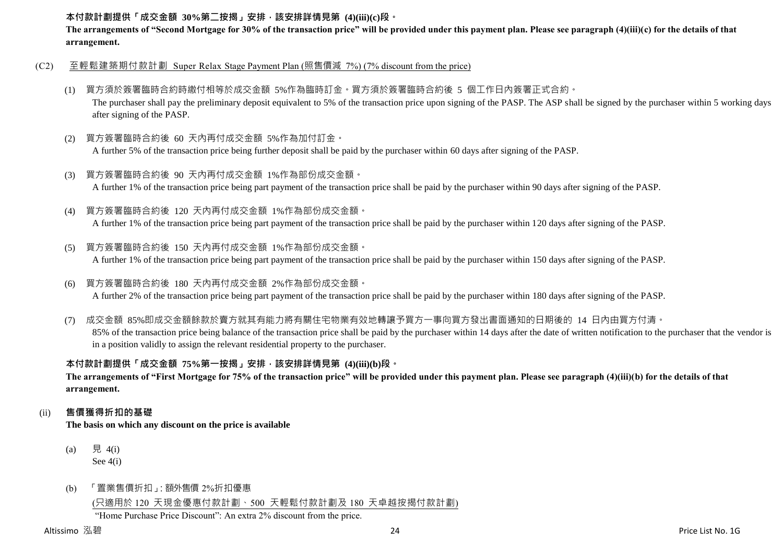#### **本付款計劃提供「成交金額 30%第二按揭」安排,該安排詳情見第 (4)(iii)(c)段。**

**The arrangements of "Second Mortgage for 30% of the transaction price" will be provided under this payment plan. Please see paragraph (4)(iii)(c) for the details of that arrangement.**

- (C2) 至輕鬆建築期付款計劃 Super Relax Stage Payment Plan (照售價減 7%) (7% discount from the price)
	- (1) 買方須於簽署臨時合約時繳付相等於成交金額 5%作為臨時訂金。買方須於簽署臨時合約後 5 個工作日內簽署正式合約。 The purchaser shall pay the preliminary deposit equivalent to 5% of the transaction price upon signing of the PASP. The ASP shall be signed by the purchaser within 5 working days after signing of the PASP.
	- (2) 買方簽署臨時合約後 60 天內再付成交金額 5%作為加付訂金。

A further 5% of the transaction price being further deposit shall be paid by the purchaser within 60 days after signing of the PASP.

- (3) 買方簽署臨時合約後 90 天內再付成交金額 1%作為部份成交金額。 A further 1% of the transaction price being part payment of the transaction price shall be paid by the purchaser within 90 days after signing of the PASP.
- (4) 買方簽署臨時合約後 120 天內再付成交金額 1%作為部份成交金額。

A further 1% of the transaction price being part payment of the transaction price shall be paid by the purchaser within 120 days after signing of the PASP.

(5) 買方簽署臨時合約後 150 天內再付成交金額 1%作為部份成交金額。

A further 1% of the transaction price being part payment of the transaction price shall be paid by the purchaser within 150 days after signing of the PASP.

(6) 買方簽署臨時合約後 180 天內再付成交金額 2%作為部份成交金額。

A further 2% of the transaction price being part payment of the transaction price shall be paid by the purchaser within 180 days after signing of the PASP.

(7) 成交金額 85%即成交金額餘款於賣方就其有能力將有關住宅物業有效地轉讓予買方一事向買方發出書面通知的日期後的 14 日內由買方付清。 85% of the transaction price being balance of the transaction price shall be paid by the purchaser within 14 days after the date of written notification to the purchaser that the vendor is in a position validly to assign the relevant residential property to the purchaser.

## **本付款計劃提供「成交金額 75%第一按揭」安排,該安排詳情見第 (4)(iii)(b)段。**

**The arrangements of "First Mortgage for 75% of the transaction price" will be provided under this payment plan. Please see paragraph (4)(iii)(b) for the details of that arrangement.**

#### (ii) **售價獲得折扣的基礎**

**The basis on which any discount on the price is available**

- (a) 見 4(i) See 4(i)
- (b) 「置業售價折扣」:額外售價 2%折扣優惠

(只適用於 120 天現金優惠付款計劃、500 天輕鬆付款計劃及 180 天卓越按揭付款計劃)

"Home Purchase Price Discount": An extra 2% discount from the price.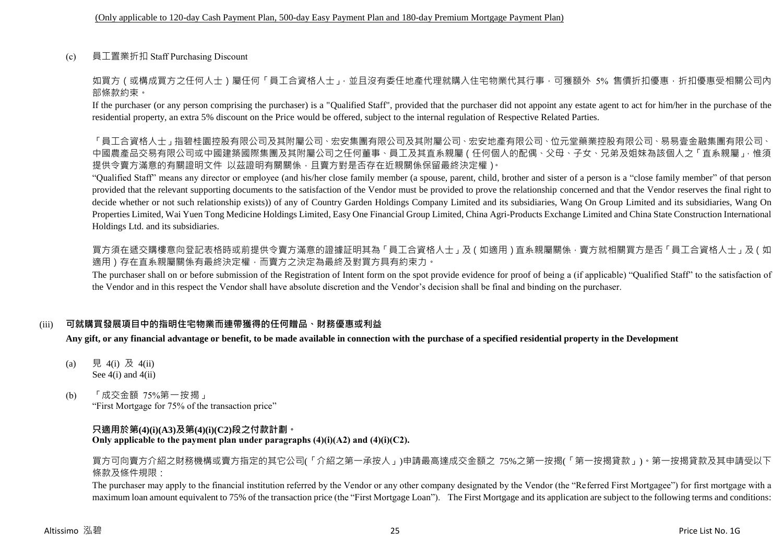(c) 員工置業折扣 Staff Purchasing Discount

如買方(或構成買方之任何人士)屬任何「員工合資格人士」,並且沒有委任地產代理就購入住宅物業代其行事,可獲額外 5% 售價折扣優惠,折扣優惠受相關公司內 部條款約束。

If the purchaser (or any person comprising the purchaser) is a "Qualified Staff", provided that the purchaser did not appoint any estate agent to act for him/her in the purchase of the residential property, an extra 5% discount on the Price would be offered, subject to the internal regulation of Respective Related Parties.

「員工合資格人士」指碧桂園控股有限公司及其附屬公司、宏安集團有限公司及其附屬公司、宏安地產有限公司、位元堂藥業控股有限公司、 中國農產品交易有限公司或中國建築國際集團及其附屬公司之任何董事、員工及其直系親屬(任何個人的配偶、父母、子女、兄弟及姐妹為該個人之「直系親屬」,惟須 提供令賣方滿意的有關證明文件 以茲證明有關關係,且賣方對是否存在近親關係保留最終決定權)。

"Qualified Staff" means any director or employee (and his/her close family member (a spouse, parent, child, brother and sister of a person is a "close family member" of that person provided that the relevant supporting documents to the satisfaction of the Vendor must be provided to prove the relationship concerned and that the Vendor reserves the final right to decide whether or not such relationship exists)) of any of Country Garden Holdings Company Limited and its subsidiaries, Wang On Group Limited and its subsidiaries, Wang On Properties Limited, Wai Yuen Tong Medicine Holdings Limited, Easy One Financial Group Limited, China Agri-Products Exchange Limited and China State Construction International Holdings Ltd. and its subsidiaries.

買方須在遞交購樓意向登記表格時或前提供令賣方滿意的證據証明其為「員工合資格人士」及(如適用)直系親屬關係,賣方就相關買方是否「員工合資格人士」及(如 適用)存在直系親屬關係有最終決定權,而賣方之決定為最終及對買方具有約束力。

The purchaser shall on or before submission of the Registration of Intent form on the spot provide evidence for proof of being a (if applicable) "Qualified Staff" to the satisfaction of the Vendor and in this respect the Vendor shall have absolute discretion and the Vendor's decision shall be final and binding on the purchaser.

## (iii) **可就購買發展項目中的指明住宅物業而連帶獲得的任何贈品、財務優惠或利益**

**Any gift, or any financial advantage or benefit, to be made available in connection with the purchase of a specified residential property in the Development**

- (a) 見 4(i) 及 4(ii) See 4(i) and 4(ii)
- (b) 「成交金額 75%第一按揭」 "First Mortgage for 75% of the transaction price"

#### **只適用於第(4)(i)(A3)及第(4)(i)(C2)段之付款計劃。 Only applicable to the payment plan under paragraphs (4)(i)(A2) and (4)(i)(C2).**

買方可向賣方介紹之財務機構或賣方指定的其它公司(「介紹之第一承按人」)申請最高達成交金額之 75%之第一按揭(「第一按揭貸款」)。第一按揭貸款及其申請受以下 條款及條件規限:

The purchaser may apply to the financial institution referred by the Vendor or any other company designated by the Vendor (the "Referred First Mortgagee") for first mortgage with a maximum loan amount equivalent to 75% of the transaction price (the "First Mortgage Loan"). The First Mortgage and its application are subject to the following terms and conditions: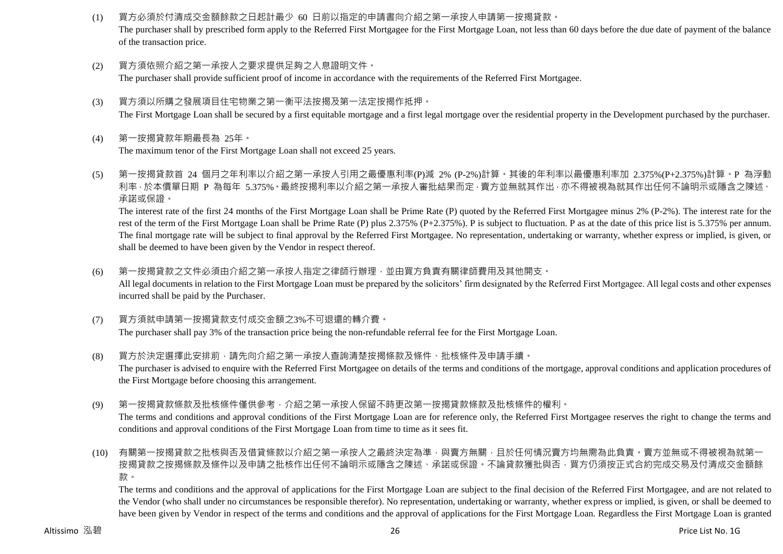- (1) 買方必須於付清成交金額餘款之日起計最少 60 日前以指定的申請書向介紹之第一承按人申請第一按揭貸款。 The purchaser shall by prescribed form apply to the Referred First Mortgagee for the First Mortgage Loan, not less than 60 days before the due date of payment of the balance of the transaction price.
- (2) 買方須依照介紹之第一承按人之要求提供足夠之入息證明文件。 The purchaser shall provide sufficient proof of income in accordance with the requirements of the Referred First Mortgagee.
- (3) 買方須以所購之發展項目住宅物業之第一衡平法按揭及第一法定按揭作抵押。

The First Mortgage Loan shall be secured by a first equitable mortgage and a first legal mortgage over the residential property in the Development purchased by the purchaser.

(4) 第一按揭貸款年期最長為 25年。

The maximum tenor of the First Mortgage Loan shall not exceed 25 years.

(5) 第一按揭貸款首 24 個月之年利率以介紹之第一承按人引用之最優惠利率(P)減 2% (P-2%)計算。其後的年利率以最優惠利率加 2.375%(P+2.375%)計算。P 為浮動 利率,於本價單日期 P 為每年 5.375%。最終按揭利率以介紹之第一承按人審批結果而定,賣方並無就其作出,亦不得被視為就其作出任何不論明示或隱含之陳述、 承諾或保證。

The interest rate of the first 24 months of the First Mortgage Loan shall be Prime Rate (P) quoted by the Referred First Mortgagee minus 2% (P-2%). The interest rate for the rest of the term of the First Mortgage Loan shall be Prime Rate (P) plus 2.375% (P+2.375%). P is subject to fluctuation. P as at the date of this price list is 5.375% per annum. The final mortgage rate will be subject to final approval by the Referred First Mortgagee. No representation, undertaking or warranty, whether express or implied, is given, or shall be deemed to have been given by the Vendor in respect thereof.

- (6) 第一按揭貸款之文件必須由介紹之第一承按人指定之律師行辦理,並由買方負責有關律師費用及其他開支。 All legal documents in relation to the First Mortgage Loan must be prepared by the solicitors' firm designated by the Referred First Mortgagee. All legal costs and other expenses incurred shall be paid by the Purchaser.
- (7) 買方須就申請第一按揭貸款支付成交金額之3%不可退還的轉介費。 The purchaser shall pay 3% of the transaction price being the non-refundable referral fee for the First Mortgage Loan.
- (8) 買方於決定選擇此安排前,請先向介紹之第一承按人查詢清楚按揭條款及條件、批核條件及申請手續。 The purchaser is advised to enquire with the Referred First Mortgagee on details of the terms and conditions of the mortgage, approval conditions and application procedures of the First Mortgage before choosing this arrangement.
- (9) 第一按揭貸款條款及批核條件僅供參考,介紹之第一承按人保留不時更改第一按揭貸款條款及批核條件的權利。 The terms and conditions and approval conditions of the First Mortgage Loan are for reference only, the Referred First Mortgagee reserves the right to change the terms and conditions and approval conditions of the First Mortgage Loan from time to time as it sees fit.
- (10) 有關第一按揭貸款之批核與否及借貸條款以介紹之第一承按人之最終決定為準,與賣方無關,且於任何情況賣方均無需為此負責。賣方並無或不得被視為就第一 按揭貸款之按揭條款及條件以及申請之批核作出任何不論明示或隱含之陳述、承諾或保證。不論貸款獲批與否,買方仍須按正式合約完成交易及付清成交金額餘 款。

The terms and conditions and the approval of applications for the First Mortgage Loan are subject to the final decision of the Referred First Mortgagee, and are not related to the Vendor (who shall under no circumstances be responsible therefor). No representation, undertaking or warranty, whether express or implied, is given, or shall be deemed to have been given by Vendor in respect of the terms and conditions and the approval of applications for the First Mortgage Loan. Regardless the First Mortgage Loan is granted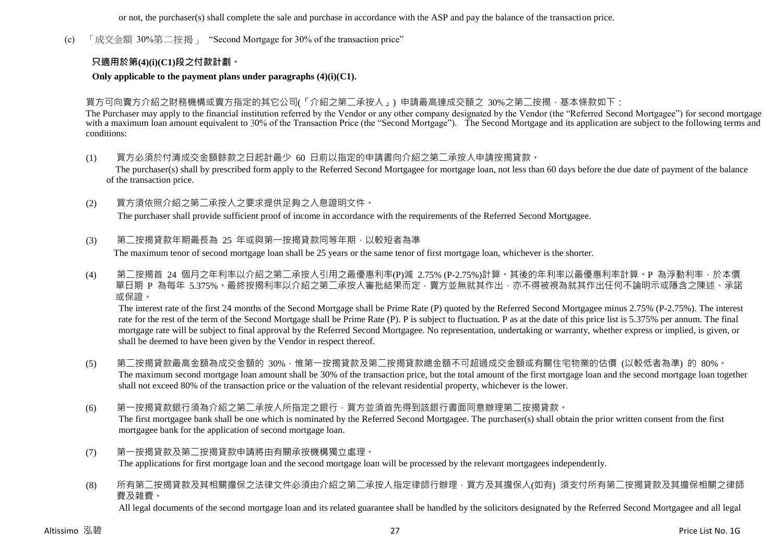or not, the purchaser(s) shall complete the sale and purchase in accordance with the ASP and pay the balance of the transaction price.

(c) 「成交金額 30%第二按揭」 "Second Mortgage for 30% of the transaction price"

### **只適用於第(4)(i)(C1)段之付款計劃。**

#### **Only applicable to the payment plans under paragraphs (4)(i)(C1).**

#### 買方可向賣方介紹之財務機構或賣方指定的其它公司(「介紹之第二承按人」) 申請最高達成交額之 30%之第二按揭,基本條款如下:

The Purchaser may apply to the financial institution referred by the Vendor or any other company designated by the Vendor (the "Referred Second Mortgagee") for second mortgage with a maximum loan amount equivalent to 30% of the Transaction Price (the "Second Mortgage"). The Second Mortgage and its application are subject to the following terms and conditions:

(1) 買方必須於付清成交金額餘款之日起計最少 60 日前以指定的申請書向介紹之第二承按人申請按揭貸款。

The purchaser(s) shall by prescribed form apply to the Referred Second Mortgagee for mortgage loan, not less than 60 days before the due date of payment of the balance of the transaction price.

(2) 買方須依照介紹之第二承按人之要求提供足夠之入息證明文件。

The purchaser shall provide sufficient proof of income in accordance with the requirements of the Referred Second Mortgagee.

(3) 第二按揭貸款年期最長為 25 年或與第一按揭貸款同等年期,以較短者為準

The maximum tenor of second mortgage loan shall be 25 years or the same tenor of first mortgage loan, whichever is the shorter.

(4) 第二按揭首 24 個月之年利率以介紹之第二承按人引用之最優惠利率(P)減 2.75% (P-2.75%)計算。其後的年利率以最優惠利率計算。P 為浮動利率,於本價 單日期 P 為每年 5.375% · 最終按揭利率以介紹之第二承按人審批結果而定,賣方並無就其作出,亦不得被視為就其作出任何不論明示或隱含之陳述、承諾 或保證。

The interest rate of the first 24 months of the Second Mortgage shall be Prime Rate (P) quoted by the Referred Second Mortgagee minus 2.75% (P-2.75%). The interest rate for the rest of the term of the Second Mortgage shall be Prime Rate (P). P is subject to fluctuation. P as at the date of this price list is 5.375% per annum. The final mortgage rate will be subject to final approval by the Referred Second Mortgagee. No representation, undertaking or warranty, whether express or implied, is given, or shall be deemed to have been given by the Vendor in respect thereof.

- (5) 第二按揭貸款最高金額為成交金額的 30%,惟第一按揭貸款及第二按揭貸款總金額不可超過成交金額或有關住宅物業的估價 (以較低者為準) 的 80%。 The maximum second mortgage loan amount shall be 30% of the transaction price, but the total amount of the first mortgage loan and the second mortgage loan together shall not exceed 80% of the transaction price or the valuation of the relevant residential property, whichever is the lower.
- (6) 第一按揭貸款銀行須為介紹之第二承按人所指定之銀行,買方並須首先得到該銀行書面同意辦理第二按揭貸款。 The first mortgagee bank shall be one which is nominated by the Referred Second Mortgagee. The purchaser(s) shall obtain the prior written consent from the first mortgagee bank for the application of second mortgage loan.
- (7) 第一按揭貸款及第二按揭貸款申請將由有關承按機構獨立處理。 The applications for first mortgage loan and the second mortgage loan will be processed by the relevant mortgagees independently.
- (8) 所有第二按揭貸款及其相關擔保之法律文件必須由介紹之第二承按人指定律師行辦理,買方及其擔保人(如有) 須支付所有第二按揭貸款及其擔保相關之律師 費及雜費。

All legal documents of the second mortgage loan and its related guarantee shall be handled by the solicitors designated by the Referred Second Mortgagee and all legal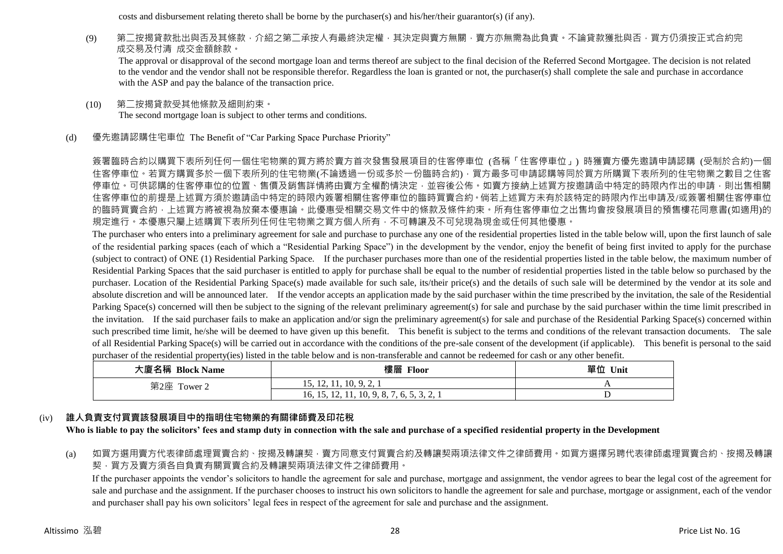costs and disbursement relating thereto shall be borne by the purchaser(s) and his/her/their guarantor(s) (if any).

(9) 第二按揭貸款批出與否及其條款,介紹之第二承按人有最終決定權,其決定與賣方無關,賣方亦無需為此負責。不論貸款獲批與否,買方仍須按正式合約完 成交易及付清 成交金額餘款

The approval or disapproval of the second mortgage loan and terms thereof are subject to the final decision of the Referred Second Mortgagee. The decision is not related to the vendor and the vendor shall not be responsible therefor. Regardless the loan is granted or not, the purchaser(s) shall complete the sale and purchase in accordance with the ASP and pay the balance of the transaction price.

- (10) 第二按揭貸款受其他條款及細則約束。 The second mortgage loan is subject to other terms and conditions.
- (d) 優先邀請認購住宅車位 The Benefit of "Car Parking Space Purchase Priority"

簽署臨時合約以購買下表所列任何一個住宅物業的買方將於賣方首次發售發展項目的住客停車位 (各稱「住客停車位」) 時獲賣方優先邀請申請認購 (受制於合約)一個 住客停車位。若買方購買多於一個下表所列的住宅物業(不論透過一份或多於一份臨時合約),買方最多可申請認購等同於買方所購買下表所列的住宅物業之數目之住客 停車位。可供認購的住客停車位的位置、售價及銷售詳情將由賣方全權酌情決定,並容後公佈。如賣方接納上述買方按邀請函中特定的時限內作出的申請,則出售相關 住客停車位的前提是上述買方須於邀請函中特定的時限內簽署相關住客停車位的臨時買賣合約。倘若上述買方未有於該特定的時限內作出申請及/或簽署相關住客停車位 的臨時買賣合約,上述買方將被視為放棄本優惠論。此優惠受相關交易文件中的條款及條件約束。所有住客停車位之出售均會按發展項目的預售樓花同意書(如適用)的 規定進行。本優惠只屬上述購買下表所列任何住宅物業之買方個人所有,不可轉讓及不可兌現為現金或任何其他優惠。

The purchaser who enters into a preliminary agreement for sale and purchase to purchase any one of the residential properties listed in the table below will, upon the first launch of sale of the residential parking spaces (each of which a "Residential Parking Space") in the development by the vendor, enjoy the benefit of being first invited to apply for the purchase (subject to contract) of ONE (1) Residential Parking Space. If the purchaser purchases more than one of the residential properties listed in the table below, the maximum number of Residential Parking Spaces that the said purchaser is entitled to apply for purchase shall be equal to the number of residential properties listed in the table below so purchased by the purchaser. Location of the Residential Parking Space(s) made available for such sale, its/their price(s) and the details of such sale will be determined by the vendor at its sole and absolute discretion and will be announced later. If the vendor accepts an application made by the said purchaser within the time prescribed by the invitation, the sale of the Residential Parking Space(s) concerned will then be subject to the signing of the relevant preliminary agreement(s) for sale and purchase by the said purchaser within the time limit prescribed in the invitation. If the said purchaser fails to make an application and/or sign the preliminary agreement(s) for sale and purchase of the Residential Parking Space(s) concerned within such prescribed time limit, he/she will be deemed to have given up this benefit. This benefit is subject to the terms and conditions of the relevant transaction documents. The sale of all Residential Parking Space(s) will be carried out in accordance with the conditions of the pre-sale consent of the development (if applicable). This benefit is personal to the said purchaser of the residential property(ies) listed in the table below and is non-transferable and cannot be redeemed for cash or any other benefit.

| 大廈名稱 Block Name | 樓層 Floor                                   | 單位<br>Unit |
|-----------------|--------------------------------------------|------------|
| 第2座 Tower 2     | 15, 12, 11, 10, 9, 2, 1                    |            |
|                 | 16, 15, 12, 11, 10, 9, 8, 7<br>1.0.3.3.4.1 |            |

## (iv) **誰人負責支付買賣該發展項目中的指明住宅物業的有關律師費及印花稅**

**Who is liable to pay the solicitors' fees and stamp duty in connection with the sale and purchase of a specified residential property in the Development**

(a) 如買方選用賣方代表律師處理買賣合約、按揭及轉讓契,賣方同意支付買賣合約及轉讓契兩項法律文件之律師費用。如買方選擇另聘代表律師處理買賣合約、按揭及轉讓 契,買方及賣方須各自負責有關買賣合約及轉讓契兩項法律文件之律師費用。

If the purchaser appoints the vendor's solicitors to handle the agreement for sale and purchase, mortgage and assignment, the vendor agrees to bear the legal cost of the agreement for sale and purchase and the assignment. If the purchaser chooses to instruct his own solicitors to handle the agreement for sale and purchase, mortgage or assignment, each of the vendor and purchaser shall pay his own solicitors' legal fees in respect of the agreement for sale and purchase and the assignment.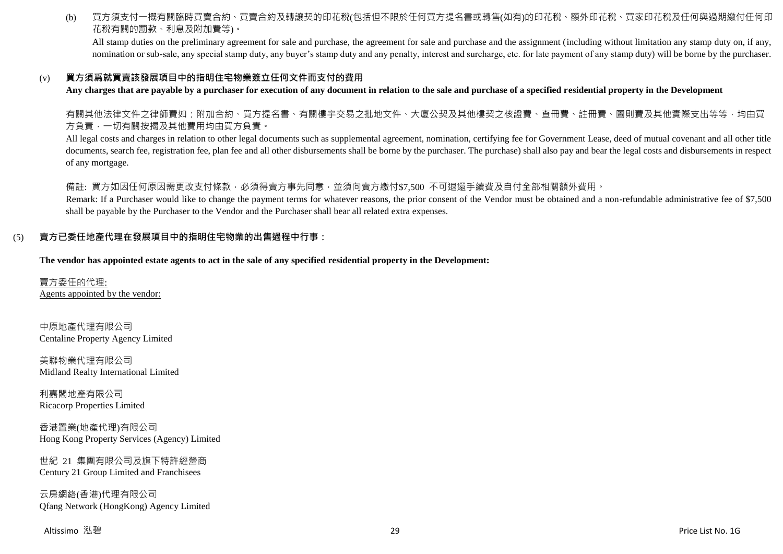(b) 買方須支付一概有關臨時買賣合約、買賣合約及轉讓契的印花稅(包括但不限於任何買方提名書或轉售(如有)的印花稅、額外印花稅、買家印花稅及任何與過期繳付任何印 花稅有關的罰款、利息及附加費等)。

All stamp duties on the preliminary agreement for sale and purchase, the agreement for sale and purchase and the assignment (including without limitation any stamp duty on, if any, nomination or sub-sale, any special stamp duty, any buyer's stamp duty and any penalty, interest and surcharge, etc. for late payment of any stamp duty) will be borne by the purchaser.

#### (v) **買方須爲就買賣該發展項目中的指明住宅物業簽立任何文件而支付的費用**

**Any charges that are payable by a purchaser for execution of any document in relation to the sale and purchase of a specified residential property in the Development**

有關其他法律文件之律師費如:附加合約、買方提名書、有關樓宇交易之批地文件、大廈公契及其他樓契之核證費、查冊費、註冊費、圖則費及其他實際支出等等,均由買 方負責,一切有關按揭及其他費用均由買方負責。

All legal costs and charges in relation to other legal documents such as supplemental agreement, nomination, certifying fee for Government Lease, deed of mutual covenant and all other title documents, search fee, registration fee, plan fee and all other disbursements shall be borne by the purchaser. The purchase) shall also pay and bear the legal costs and disbursements in respect of any mortgage.

備註: 買方如因任何原因需更改支付條款,必須得賣方事先同意,並須向賣方繳付\$7,500 不可退還手續費及自付全部相關額外費用。

Remark: If a Purchaser would like to change the payment terms for whatever reasons, the prior consent of the Vendor must be obtained and a non-refundable administrative fee of \$7,500 shall be payable by the Purchaser to the Vendor and the Purchaser shall bear all related extra expenses.

#### (5) **賣方已委任地產代理在發展項目中的指明住宅物業的出售過程中行事:**

**The vendor has appointed estate agents to act in the sale of any specified residential property in the Development:**

賣方委任的代理: Agents appointed by the vendor:

中原地產代理有限公司 Centaline Property Agency Limited

美聯物業代理有限公司 Midland Realty International Limited

利嘉閣地產有限公司 Ricacorp Properties Limited

香港置業(地產代理)有限公司 Hong Kong Property Services (Agency) Limited

世紀 21 集團有限公司及旗下特許經營商 Century 21 Group Limited and Franchisees

云房網絡(香港)代理有限公司 Qfang Network (HongKong) Agency Limited